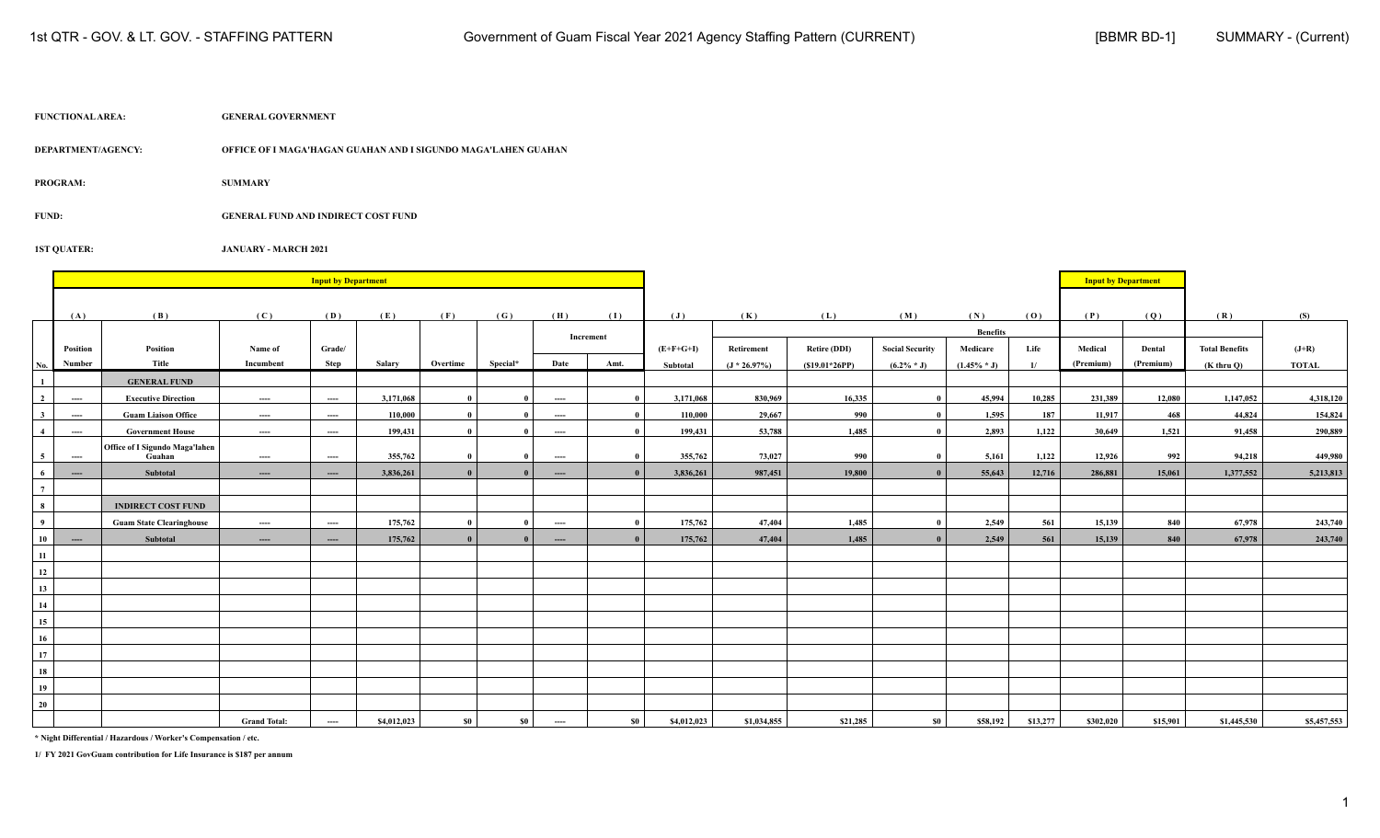## FUNCTIONAL AREA: **GENERAL GOVERNMENT**

**DEPARTMENT/AGENCY: OFFICE OF I MAGA'HAGAN GUAHAN AND I SIGUNDO MAGA'LAHEN GUAHAN**

**PROGRAM: SUMMARY**

**FUND: GENERAL FUND AND INDIRECT COST FUND**

**1ST QUATER: JANUARY - MARCH 2021**

|                                |                          |                                       |                     | <b>Input by Department</b> |             |                     |                          |       |                          |                |                  |                 |                        |                 |              | <b>Input by Department</b> |              |                       |              |
|--------------------------------|--------------------------|---------------------------------------|---------------------|----------------------------|-------------|---------------------|--------------------------|-------|--------------------------|----------------|------------------|-----------------|------------------------|-----------------|--------------|----------------------------|--------------|-----------------------|--------------|
|                                | (A)                      | (B)                                   | (C)                 | (D)                        | (E)         | (F)                 | (G)                      | (H)   | (I)                      | $(\mathbf{J})$ | (K)              | (L)             | (M)                    | (N)             | (0)          | (P)                        | (Q)          | (R)                   | (S)          |
|                                |                          |                                       |                     |                            |             |                     |                          |       |                          |                |                  |                 |                        | <b>Benefits</b> |              |                            |              |                       |              |
|                                | Position                 | Position                              | Name of             |                            |             |                     |                          |       | Increment                | $(E+F+G+I)$    | Retirement       | Retire (DDI)    | <b>Social Security</b> | Medicare        | Life         | Medical                    | Dental       | <b>Total Benefits</b> | $(J+R)$      |
|                                | Number                   | Title                                 | Incumbent           | Grade/<br>Step             | Salary      | Overtime            | Special*                 | Date  | Amt.                     | Subtotal       | $(J * 26.97%)$   | $(S19.01*26PP)$ |                        |                 | 1/           | (Premium)                  | (Premium)    |                       | <b>TOTAL</b> |
| No.<br>$\mathbf{1}$            |                          | <b>GENERAL FUND</b>                   |                     |                            |             |                     |                          |       |                          |                |                  |                 | $(6.2\% * J)$          | $(1.45\% * J)$  |              |                            |              | $(K$ thru $Q)$        |              |
| $\overline{2}$                 |                          | <b>Executive Direction</b>            |                     |                            | 3.171.068   | - 0                 | $\theta$                 |       | $\mathbf{0}$             | 3,171,068      | 830,969          | 16.335          | $\theta$               | 45.994          | 10.285       | 231.389                    | 12.080       | 1,147,052             | 4,318,120    |
|                                | ----                     | <b>Guam Liaison Office</b>            | ----                | ----                       | 110,000     |                     |                          | ----  |                          | 110,000        |                  |                 | $\mathbf{0}$           |                 |              |                            |              | 44,824                | 154,824      |
| $\mathbf{3}$<br>$\overline{4}$ | ----                     | <b>Government House</b>               | ----                | $---$                      | 199,431     | - 0<br>$\mathbf{0}$ | $\mathbf{0}$<br>$\theta$ | ----  | $\mathbf{0}$<br>$\bf{0}$ | 199,431        | 29,667<br>53,788 | 990<br>1,485    | $\theta$               | 1,595<br>2,893  | 187<br>1,122 | 11,917<br>30,649           | 468<br>1,521 | 91.458                | 290,889      |
|                                | ----                     | <b>Office of I Sigundo Maga'lahen</b> | ----                | $---$                      |             |                     |                          | ----  |                          |                |                  |                 |                        |                 |              |                            |              |                       |              |
| 5 <sup>5</sup>                 | ----                     | Guahan                                | ----                | $---$                      | 355,762     | - 0                 | $\mathbf{0}$             | ----  | $\theta$                 | 355,762        | 73,027           | 990             | $\mathbf{0}$           | 5,161           | 1,122        | 12,926                     | 992          | 94,218                | 449,980      |
| 6                              | $\overline{\phantom{a}}$ | Subtotal                              | $\cdots$            | $\cdots$                   | 3,836,261   | $\mathbf{0}$        | $\mathbf{0}$             | $---$ |                          | 3,836,261      | 987,451          | 19,800          | $\mathbf{0}$           | 55,643          | 12,716       | 286,881                    | 15,061       | 1,377,552             | 5,213,813    |
| $7\overline{ }$                |                          |                                       |                     |                            |             |                     |                          |       |                          |                |                  |                 |                        |                 |              |                            |              |                       |              |
| $\bf8$                         |                          | <b>INDIRECT COST FUND</b>             |                     |                            |             |                     |                          |       |                          |                |                  |                 |                        |                 |              |                            |              |                       |              |
| $\overline{9}$                 |                          | <b>Guam State Clearinghouse</b>       | ----                | $---$                      | 175,762     | - 0                 | - 0                      | ----  | $\mathbf{0}$             | 175,762        | 47,404           | 1,485           | $\theta$               | 2,549           | 561          | 15,139                     | 840          | 67,978                | 243,740      |
| 10                             | $\cdots$                 | Subtotal                              | $\cdots$            | $\cdots$                   | 175,762     |                     | $\mathbf{0}$             | $---$ |                          | 175,762        | 47,404           | 1,485           | $\theta$               | 2,549           | 561          | 15,139                     | 840          | 67,978                | 243,740      |
| 11                             |                          |                                       |                     |                            |             |                     |                          |       |                          |                |                  |                 |                        |                 |              |                            |              |                       |              |
| 12                             |                          |                                       |                     |                            |             |                     |                          |       |                          |                |                  |                 |                        |                 |              |                            |              |                       |              |
| 13                             |                          |                                       |                     |                            |             |                     |                          |       |                          |                |                  |                 |                        |                 |              |                            |              |                       |              |
| 14                             |                          |                                       |                     |                            |             |                     |                          |       |                          |                |                  |                 |                        |                 |              |                            |              |                       |              |
| 15                             |                          |                                       |                     |                            |             |                     |                          |       |                          |                |                  |                 |                        |                 |              |                            |              |                       |              |
| 16                             |                          |                                       |                     |                            |             |                     |                          |       |                          |                |                  |                 |                        |                 |              |                            |              |                       |              |
| 17                             |                          |                                       |                     |                            |             |                     |                          |       |                          |                |                  |                 |                        |                 |              |                            |              |                       |              |
| 18                             |                          |                                       |                     |                            |             |                     |                          |       |                          |                |                  |                 |                        |                 |              |                            |              |                       |              |
| 19                             |                          |                                       |                     |                            |             |                     |                          |       |                          |                |                  |                 |                        |                 |              |                            |              |                       |              |
| 20                             |                          |                                       |                     |                            |             |                     |                          |       |                          |                |                  |                 |                        |                 |              |                            |              |                       |              |
|                                |                          |                                       | <b>Grand Total:</b> | ----                       | \$4,012,023 | <b>\$0</b>          | \$0                      | ----  | \$0                      | \$4,012,023    | \$1,034,855      | \$21,285        | \$0                    | \$58,192        | \$13,277     | \$302,020                  | \$15,901     | \$1,445,530           | \$5,457,553  |

**\* Night Differential / Hazardous / Worker's Compensation / etc.**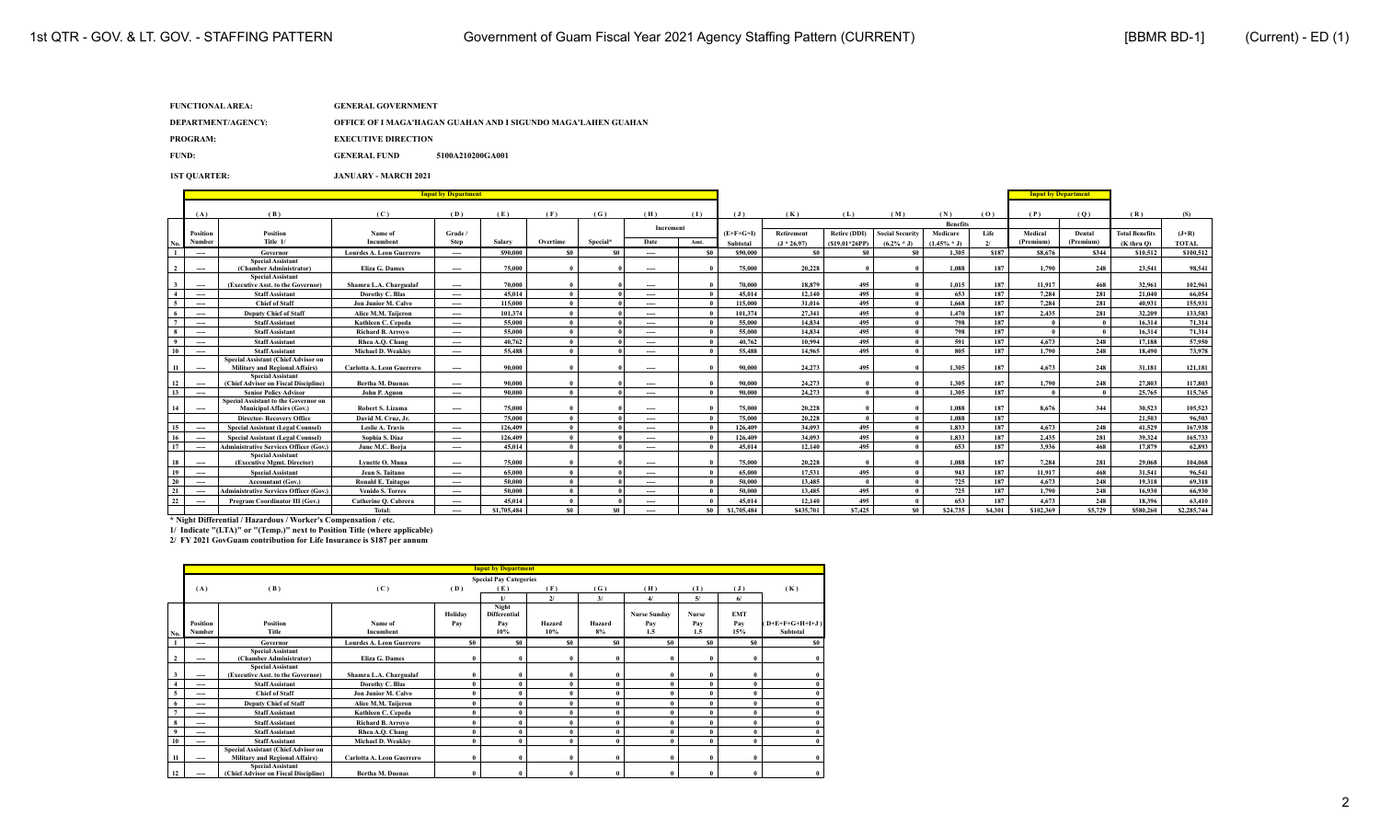| FUNCTIONAL AREA: | <b>GENERAL GOVERNMENT</b> |
|------------------|---------------------------|
|                  |                           |

| DEPARTMENT/AGENCY: | OFFICE OF I MAGA'HAGAN GUAHAN AND I SIGUNDO MAGA'LAHEN GUAHAN |
|--------------------|---------------------------------------------------------------|
|                    |                                                               |

**PROGRAM: EXECUTIVE DIRECTION**

**FUND: GENERAL FUND 5100A210200GA001**

**1ST QUARTER: JANUARY - MARCH 2021**

|                         |                          |                                                                              |                                 |                          |             |          |          |                          |      |             | <b>Input by Department</b> |                     |                        |                 |               |           |           |                       |              |
|-------------------------|--------------------------|------------------------------------------------------------------------------|---------------------------------|--------------------------|-------------|----------|----------|--------------------------|------|-------------|----------------------------|---------------------|------------------------|-----------------|---------------|-----------|-----------|-----------------------|--------------|
|                         |                          |                                                                              |                                 |                          |             |          |          |                          |      |             |                            |                     |                        |                 |               |           |           |                       |              |
|                         | (A)                      | (B)                                                                          | (C)                             | (D)                      | (E)         | (F)      | (G)      | (H)                      | (1)  | (J)         | (K)                        | (L)                 | (M)                    | (N)             | (0)           | (P)       | (0)       | (R)                   | (S)          |
|                         |                          |                                                                              |                                 |                          |             |          |          | Increment                |      |             |                            |                     |                        | <b>Benefits</b> |               |           |           |                       |              |
|                         | <b>Position</b>          | <b>Position</b>                                                              | Name of                         | Grade /                  |             |          |          |                          |      | $(E+F+G+I)$ | Retirement                 | <b>Retire (DDI)</b> | <b>Social Security</b> | Medicare        | Life          | Medical   | Dental    | <b>Total Benefits</b> | $(J+R)$      |
| No.                     | Number                   | Title 1/                                                                     | <b>Incumbent</b>                | <b>Step</b>              | Salary      | Overtime | Special* | Date                     | Amt. | Subtotal    | $(J * 26.97)$              | $(S19.01*26PP)$     | $(6.2\% * J)$          | $(1.45\% * J)$  | $\mathcal{L}$ | (Premium) | (Premium) | $(K$ thru $O$ )       | <b>TOTAL</b> |
|                         | $---$                    | Governor                                                                     | <b>Lourdes A. Leon Guerrero</b> | ----                     | \$90,000    | -50      | \$0      | $\overline{\phantom{a}}$ | -SO  | \$90,000    | \$0                        | S0                  | S <sub>0</sub>         | 1.305           | \$187         | \$8,676   | \$344     | \$10,512              | \$100,512    |
| $\overline{2}$          | $-$                      | <b>Special Assistant</b><br>(Chamber Administrator)                          | <b>Eliza G. Dames</b>           | $\overline{\phantom{a}}$ | 75,000      |          |          | $- - -$                  |      | 75,000      | 20,228                     |                     |                        | 1.088           | 187           | 1,790     | 248       | 23.541                | 98,541       |
| $\overline{\mathbf{3}}$ | $\sim$                   | <b>Special Assistant</b><br>(Executive Asst. to the Governor)                | Shamra L.A. Chargualaf          | $\overline{\phantom{a}}$ | 70,000      |          |          | $- - -$                  |      | 70.000      | 18,879                     | 495                 |                        | 1.015           | 187           | 11.917    | 468       | 32.961                | 102.961      |
| $\overline{4}$          | $---$                    | <b>Staff Assistant</b>                                                       | Dorothy C. Blas                 | $---$                    | 45.014      |          |          | $- - -$                  |      | 45.014      | 12,140                     | 495                 |                        | 653             | 187           | 7.284     | 281       | 21.040                | 66,054       |
| -5                      | $---$                    | <b>Chief of Staff</b>                                                        | Jon Junior M. Calvo             | $---$                    | 115,000     |          |          | $- - -$                  |      | 115,000     | 31,016                     | 495                 |                        | 1.668           | 187           | 7.284     | 281       | 40.931                | 155,931      |
| 6                       | $-$                      | <b>Deputy Chief of Staff</b>                                                 | Alice M.M. Taijeron             | $\overline{\phantom{a}}$ | 101.374     |          |          | $\overline{\phantom{a}}$ |      | 101.374     | 27,341                     | 495                 |                        | 1.470           | 187           | 2.435     | 281       | 32.209                | 133,583      |
| 7                       | $---$                    | <b>Staff Assistant</b>                                                       | Kathleen C. Cepeda              | $---$                    | 55,000      |          |          | $- - -$                  |      | 55,000      | 14,834                     | 495                 |                        | 798             | 187           |           |           | 16.314                | 71,314       |
| 8                       | $\hspace{0.05cm} \cdots$ | <b>Staff Assistant</b>                                                       | <b>Richard B. Arrovo</b>        | ----                     | 55,000      |          |          | $- - -$                  |      | 55,000      | 14,834                     | 495                 |                        | 798             | 187           |           |           | 16.314                | 71,314       |
| 9                       | $-$                      | <b>Staff Assistant</b>                                                       | Rhea A.O. Chang                 | $\overline{\phantom{a}}$ | 40,762      |          |          | $- - -$                  |      | 40.762      | 10.994                     | 495                 |                        | 591             | 187           | 4.673     | 248       | 17,188                | 57,950       |
| 10                      | $\overline{\phantom{a}}$ | <b>Staff Assistant</b>                                                       | <b>Michael D. Weakley</b>       | $\overline{\phantom{a}}$ | 55,488      |          |          | $- - -$                  |      | 55,488      | 14.965                     | 495                 |                        | 805             | 187           | 1,790     | 248       | 18,490                | 73,978       |
| 11                      | $\hspace{0.05cm} \cdots$ | Special Assistant (Chief Advisor on<br><b>Military and Regional Affairs)</b> | Carlotta A. Leon Guerrero       | ----                     | 90,000      |          |          | $- - -$                  |      | 90,000      | 24,273                     | 495                 |                        | 1.305           | 187           | 4.673     | 248       | 31.181                | 121,181      |
| 12                      | $---$                    | <b>Special Assistant</b><br>(Chief Advisor on Fiscal Discipline)             | <b>Bertha M. Duenas</b>         | $---$                    | 90,000      |          |          | $- - -$                  |      | 90,000      | 24,273                     |                     |                        | 1.305           | 187           | 1.790     | 248       | 27,803                | 117,803      |
| 13                      | $-$                      | <b>Senior Policy Advisor</b>                                                 | John P. Aguon                   | $---$                    | 90,000      |          |          | $- - -$                  |      | 90.000      | 24,273                     |                     |                        | 1.305           | 187           |           |           | 25,765                | 115,765      |
| 14                      | $\sim$                   | Special Assistant to the Governor on<br><b>Municipal Affairs (Gov.)</b>      | Robert S. Lizama                | $\overline{\phantom{a}}$ | 75,000      |          |          | $- - -$                  |      | 75.000      | 20,228                     |                     |                        | 1.088           | 187           | 8.676     | 344       | 30.523                | 105,523      |
|                         |                          | <b>Director-Recovery Office</b>                                              | David M. Cruz, Jr.              |                          | 75,000      |          |          | $- - -$                  |      | 75.000      | 20,228                     |                     |                        | 1.088           | 187           |           |           | 21.503                | 96,503       |
| 15                      | $---$                    | <b>Special Assistant (Legal Counsel)</b>                                     | Leslie A. Travis                | $---$                    | 126,409     |          |          | $- - -$                  |      | 126,409     | 34,093                     | 495                 |                        | 1,833           | 187           | 4.673     | 248       | 41.529                | 167,938      |
| 16                      | $\sim$                   | <b>Special Assistant (Legal Counsel)</b>                                     | Sophia S. Diaz                  | $\overline{\phantom{a}}$ | 126,409     |          |          | $- - -$                  |      | 126,409     | 34,093                     | 495                 |                        | 1.833           | 187           | 2.435     | 281       | 39.324                | 165,733      |
| 17                      | $---$                    | <b>Administrative Services Officer (Gov.)</b>                                | June M.C. Boria                 | $---$                    | 45.014      |          |          | $\hspace{0.05cm} \cdots$ |      | 45.014      | 12,140                     | 495                 |                        | 653             | 187           | 3.936     | 468       | 17,879                | 62,893       |
| 18                      | $-$                      | <b>Special Assistant</b><br>(Executive Mgmt, Director)                       | Lynette O. Muna                 | $---$                    | 75,000      |          |          | $- - -$                  |      | 75,000      | 20,228                     |                     |                        | 1.088           | 187           | 7.284     | 281       | 29,068                | 104,068      |
| 19                      | $-$                      | <b>Special Assistant</b>                                                     | Jean S. Taitano                 | $\overline{\phantom{a}}$ | 65,000      |          |          | $- - -$                  |      | 65,000      | 17.531                     | 495                 |                        | 943             | 187           | 11.917    | 468       | 31.541                | 96,541       |
| 20                      | $---$                    | <b>Accountant (Gov.)</b>                                                     | <b>Ronald E. Taitague</b>       | $---$                    | 50,000      |          |          | $- - -$                  |      | 50.000      | 13,485                     |                     |                        | 725             | 187           | 4.673     | 248       | 19.318                | 69,318       |
| 21                      | $---$                    | <b>Administrative Services Officer (Gov.)</b>                                | <b>Venido S. Torres</b>         | $---$                    | 50,000      |          |          | $\hspace{0.05cm} \cdots$ |      | 50,000      | 13,485                     | 495                 |                        | 725             | 187           | 1.790     | 248       | 16.930                | 66,930       |
| 22                      | $\hspace{0.05cm} \cdots$ | <b>Program Coordinator III (Gov.)</b>                                        | Catherine O. Cabrera            | $\overline{\phantom{a}}$ | 45.014      |          |          | $- - -$                  |      | 45.014      | 12,140                     | 495                 |                        | 653             | 187           | 4.673     | 248       | 18.396                | 63,410       |
|                         |                          |                                                                              | Total:                          | ----                     | \$1,705,484 | \$0      | \$0      | $\sim$                   | \$0  | \$1,705,484 | \$435,701                  | \$7,425             | \$0                    | \$24,735        | \$4,301       | \$102.369 | \$5,729   | \$580,260             | \$2,285,744  |

\* Night Differential / Hazardous / Worker's Compensation / etc.<br>1/ Indicate "(LTA)" or "(Temp.)" next to Position Title (where applicable)<br>2/ FY 2021 GovGuam contribution for Life Insurance is S187 per annum

|                         |          | <b>Input by Department</b>                                                   |                                 |                |                               |                |                |                     |                |                |                   |
|-------------------------|----------|------------------------------------------------------------------------------|---------------------------------|----------------|-------------------------------|----------------|----------------|---------------------|----------------|----------------|-------------------|
|                         |          |                                                                              |                                 |                | <b>Special Pay Categories</b> |                |                |                     |                |                |                   |
|                         | (A)      | (B)                                                                          | (C)                             | (D)            | (E)                           | (F)            | (G)            | (H)                 | (1)            | (J)            | (K)               |
|                         |          |                                                                              |                                 |                |                               | 21             | 3/             | 4/                  | 5/             | 6/             |                   |
|                         |          |                                                                              |                                 | Holiday        | Night<br><b>Differential</b>  |                |                | <b>Nurse Sunday</b> | <b>Nurse</b>   | <b>EMT</b>     |                   |
|                         | Position | <b>Position</b>                                                              | Name of                         | Pay            | Pay                           | Hazard         | Hazard         | Pay                 | Pay            | Pay            | $(D+E+F+G+H+I+J)$ |
| No.                     | Number   | Title                                                                        | Incumbent                       |                | 10%                           | 10%            | 8%             | 1.5                 | 1.5            | 15%            | Subtotal          |
|                         | ----     | Governor                                                                     | <b>Lourdes A. Leon Guerrero</b> | S <sub>0</sub> | S <sub>0</sub>                | S <sub>0</sub> | S <sub>0</sub> | S <sub>0</sub>      | S <sub>0</sub> | S <sub>0</sub> | S <sub>0</sub>    |
|                         |          | <b>Special Assistant</b>                                                     |                                 |                |                               |                |                |                     |                |                |                   |
| $\overline{\mathbf{c}}$ | $- - -$  | (Chamber Administrator)                                                      | Eliza G. Dames                  | $\bf{0}$       | $\mathbf{0}$                  | $\theta$       | $\theta$       |                     | $\theta$       | $\theta$       |                   |
| 3                       | ----     | <b>Special Assistant</b><br>(Executive Asst. to the Governor)                | Shamra L.A. Chargualaf          | $\theta$       |                               |                |                |                     |                | $\bf{0}$       |                   |
| $\overline{4}$          | ----     | <b>Staff Assistant</b>                                                       | Dorothy C. Blas                 | $\theta$       | $\theta$                      |                |                |                     | $\theta$       | $\theta$       |                   |
| 5                       | $- - -$  | <b>Chief of Staff</b>                                                        | Jon Junior M. Calvo             | $\theta$       |                               |                |                |                     |                | $\theta$       |                   |
| 6                       | $- - -$  | <b>Deputy Chief of Staff</b>                                                 | Alice M.M. Taijeron             | $\theta$       |                               |                |                |                     |                | $\theta$       |                   |
| $\overline{7}$          | ----     | <b>Staff Assistant</b>                                                       | Kathleen C. Cepeda              | $\theta$       | $\theta$                      |                |                |                     | $\theta$       | $\bf{0}$       |                   |
| 8                       | ----     | <b>Staff Assistant</b>                                                       | <b>Richard B. Arrovo</b>        | $\theta$       |                               |                |                |                     |                | $\theta$       |                   |
| 9                       | ----     | <b>Staff Assistant</b>                                                       | Rhea A.Q. Chang                 | $\theta$       |                               |                |                |                     |                | $\theta$       |                   |
| 10                      | $- - -$  | <b>Staff Assistant</b>                                                       | Michael D. Weakley              | $\theta$       | $\theta$                      |                |                |                     | $\theta$       | $\theta$       |                   |
| 11                      | $- - -$  | Special Assistant (Chief Advisor on<br><b>Military and Regional Affairs)</b> | Carlotta A. Leon Guerrero       | $\theta$       | $\mathbf{0}$                  |                |                |                     |                | $\theta$       |                   |
| 12                      | ----     | <b>Special Assistant</b><br>(Chief Advisor on Fiscal Discipline)             | <b>Bertha M. Duenas</b>         | $\theta$       | $\theta$                      |                |                |                     | O              | $\mathbf{0}$   |                   |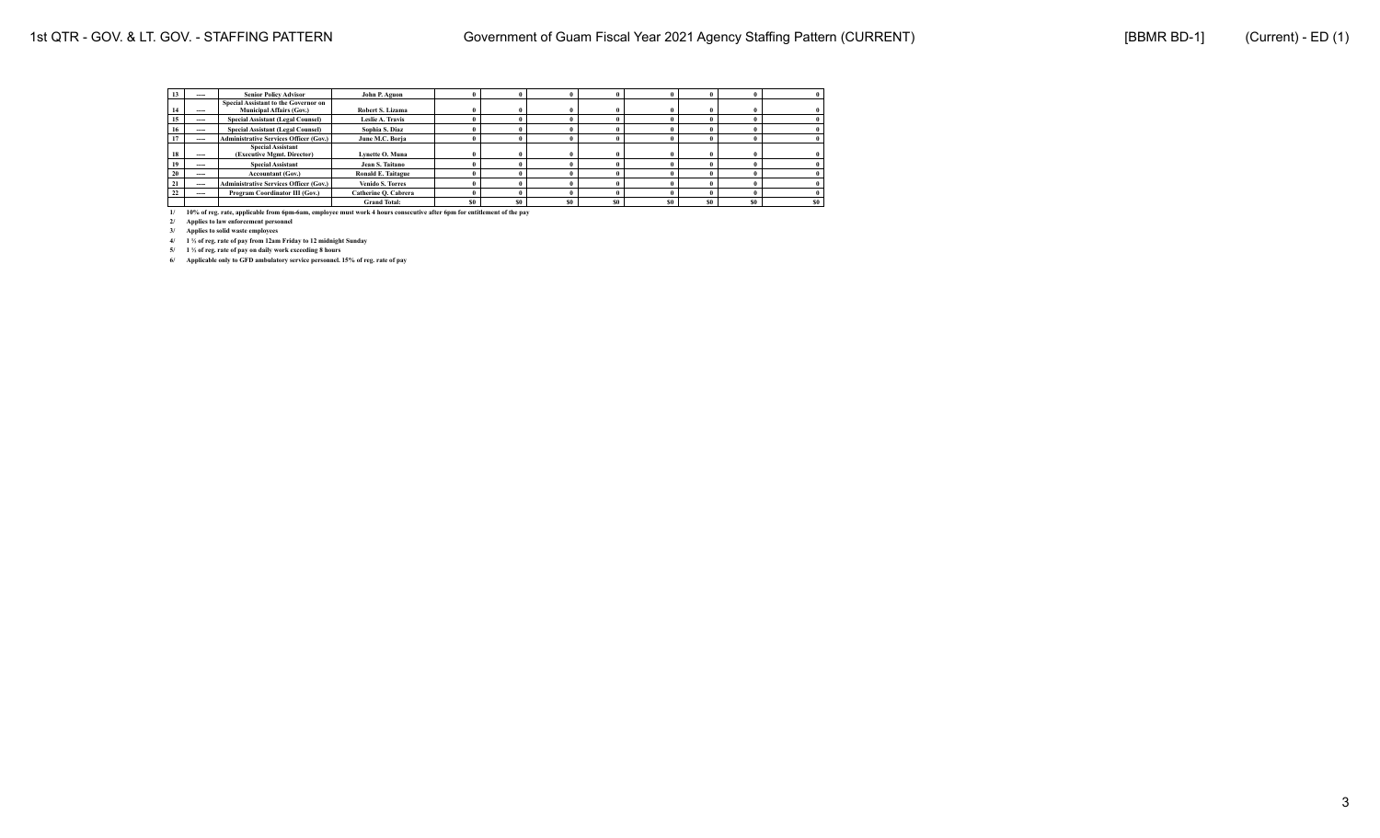| -15 | ---- | <b>Senior Policy Advisor</b>                                            | John P. Aguon           |                |                |                |    |                |    |                |
|-----|------|-------------------------------------------------------------------------|-------------------------|----------------|----------------|----------------|----|----------------|----|----------------|
| 14  | ---- | Special Assistant to the Governor on<br><b>Municipal Affairs (Gov.)</b> | <b>Robert S. Lizama</b> |                |                |                |    |                |    |                |
| -12 | ---- | <b>Special Assistant (Legal Counsel)</b>                                | Leslie A. Travis        |                |                |                |    |                |    |                |
|     | ---- | <b>Special Assistant (Legal Counsel)</b>                                | Sophia S. Diaz          |                |                |                |    |                |    |                |
|     | ---- | <b>Administrative Services Officer (Gov.)</b>                           | June M.C. Borja         |                |                |                |    |                |    |                |
| 18  | ---- | <b>Special Assistant</b><br>(Executive Mgmt. Director)                  | Lynette O. Muna         |                |                |                |    |                |    |                |
| 19  | ---- | <b>Special Assistant</b>                                                | Jean S. Taitano         |                |                |                |    |                |    |                |
| 20  | ---- | <b>Accountant (Gov.)</b>                                                | Ronald E. Taitague      |                |                |                |    |                |    |                |
| 21  | ---- | <b>Administrative Services Officer (Gov.)</b>                           | <b>Venido S. Torres</b> |                |                |                |    |                |    |                |
| 22  | ---- | Program Coordinator III (Gov.)                                          | Catherine Q. Cabrera    |                |                |                |    |                |    |                |
|     |      |                                                                         | <b>Grand Total:</b>     | S <sub>0</sub> | S <sub>0</sub> | S <sub>0</sub> | S0 | S <sub>0</sub> | S0 | S <sub>0</sub> |

**2/ Applies to law enforcement personnel**

**3/ Applies to solid waste employees**

**4/ 1 ½ of reg. rate of pay from 12am Friday to 12 midnight Sunday**

**5/ 1 ½ of reg. rate of pay on daily work exceeding 8 hours**

**6/ Applicable only to GFD ambulatory service personnel. 15% of reg. rate of pay**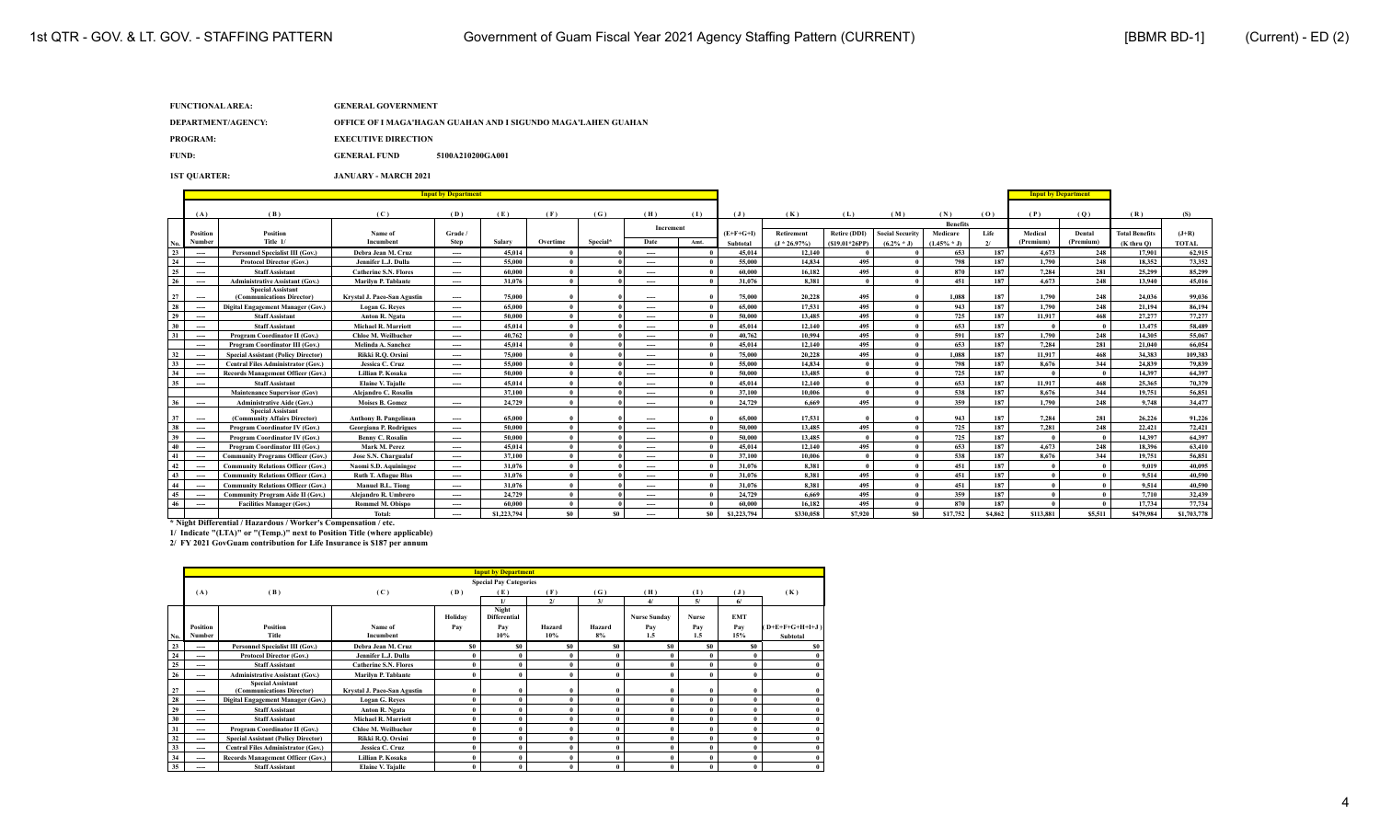| <b>FUNCTIONAL AREA:</b> | <b>GENERAL GOVERNMENT</b> |
|-------------------------|---------------------------|
|                         |                           |

**DEPARTMENT/AGENCY: OFFICE OF I MAGA'HAGAN GUAHAN AND I SIGUNDO MAGA'LAHEN GUAHAN**

**PROGRAM: EXECUTIVE DIRECTION**

**FUND: GENERAL FUND 5100A210200GA001** 

**1ST QUARTER: JANUARY - MARCH 2021**

|     |                          | <b>Input by Department</b>                               |                               |                          |             |              |          |                          |      |             |                 |                     |                        |                 |         | <b>Input by Department</b> |           |                       |              |
|-----|--------------------------|----------------------------------------------------------|-------------------------------|--------------------------|-------------|--------------|----------|--------------------------|------|-------------|-----------------|---------------------|------------------------|-----------------|---------|----------------------------|-----------|-----------------------|--------------|
|     |                          |                                                          |                               |                          |             |              |          |                          |      |             |                 |                     |                        |                 |         |                            |           |                       |              |
|     | (A)                      | (B)                                                      | (C)                           | (D)                      | (E)         | (F)          | (G)      | (H)                      | (1)  | (J)         | (K)             | (L)                 | (M)                    | (N)             | (0)     | (P)                        | (0)       | (R)                   | (S)          |
|     |                          |                                                          |                               |                          |             |              |          | Increment                |      |             |                 |                     |                        | <b>Benefits</b> |         |                            |           |                       |              |
|     | <b>Position</b>          | <b>Position</b>                                          | Name of                       | Grade                    |             |              |          |                          |      | $(E+F+G+I)$ | Retirement      | <b>Retire (DDI)</b> | <b>Social Security</b> | Medicare        | Life    | Medical                    | Dental    | <b>Total Benefits</b> | $(J+R)$      |
| Ńо. | Number                   | Title 1/                                                 | Incumbent                     | <b>Step</b>              | Salary      | Overtime     | Special* | Date                     | Amt. | Subtotal    | $(J * 26.97\%)$ | (\$19.01*26PP)      | $(6.2\% * J)$          | $(1.45\% * J)$  | 21      | (Premium)                  | (Premium) | (K thru O)            | <b>TOTAL</b> |
| 23  | $\sim$                   | <b>Personnel Specialist III (Gov.)</b>                   | Debra Jean M. Cruz            | $\cdots$                 | 45.014      |              |          | $\overline{\phantom{a}}$ |      | 45.014      | 12,140          |                     |                        | 653             | 187     | 4.673                      | 248       | 17.901                | 62,915       |
| 24  | $\sim$                   | <b>Protocol Director (Gov.)</b>                          | Jennifer L.J. Dulla           | $\overline{\phantom{a}}$ | 55,000      |              |          | $- - -$                  |      | 55,000      | 14,834          | 495                 |                        | 798             | 187     | 1.790                      | 248       | 18.352                | 73,352       |
| 25  | $\overline{\phantom{a}}$ | <b>Staff Assistant</b>                                   | <b>Catherine S.N. Flores</b>  | $---$                    | 60,000      |              |          | $- - -$                  |      | 60,000      | 16.182          | 495                 |                        | 870             | 187     | 7.284                      | 281       | 25.299                | 85,299       |
| 26  | $\sim$                   | <b>Administrative Assistant (Gov.)</b>                   | <b>Marilyn P. Tablante</b>    | $\cdots$                 | 31,076      |              |          | $\overline{\phantom{a}}$ |      | 31.076      | 8.381           |                     |                        | 451             | 187     | 4.673                      | 248       | 13,940                | 45,016       |
| 27  | $-$                      | <b>Special Assistant</b><br>(Communications Director)    | Krystal J. Paco-San Agustin   | ----                     | 75,000      |              |          | $- - -$                  |      | 75,000      | 20,228          | 495                 |                        | 1.088           | 187     | 1.790                      | 248       | 24,036                | 99,036       |
| 28  | $\overline{\phantom{a}}$ | Digital Engagement Manager (Gov.)                        | <b>Logan G. Reves</b>         | $---$                    | 65.000      |              |          | $- - -$                  |      | 65,000      | 17.531          | 495                 |                        | 943             | 187     | 1.790                      | 248       | 21.194                | 86,194       |
| 29  | $-$                      | <b>Staff Assistant</b>                                   | <b>Anton R. Ngata</b>         | $\overline{\phantom{a}}$ | 50,000      |              |          | $- - -$                  |      | 50,000      | 13,485          | 495                 |                        | 725             | 187     | 11.917                     | 468       | 27,277                | 77,277       |
| 30  | $\overline{\phantom{a}}$ | <b>Staff Assistant</b>                                   | <b>Michael R. Marriott</b>    | ----                     | 45.014      |              |          | $- - -$                  |      | 45.014      | 12,140          | 495                 |                        | 653             | 187     |                            |           | 13,475                | 58,489       |
| 31  | $-$                      | Program Coordinator II (Gov.)                            | Chloe M. Weilbacher           | $---$                    | 40,762      |              |          | $- - -$                  |      | 40,762      | 10.994          | 495                 |                        | 591             | 187     | 1.790                      | 248       | 14.305                | 55,067       |
|     | $\sim$                   | Program Coordinator III (Gov.)                           | Melinda A. Sanchez            | $---$                    | 45.014      |              |          | $- - -$                  |      | 45.014      | 12,140          | 495                 |                        | 653             | 187     | 7.284                      | 281       | 21,040                | 66,054       |
| 32  | $-$                      | <b>Special Assistant (Policy Director)</b>               | Rikki R.O. Orsini             | $---$                    | 75,000      |              |          | $- - -$                  |      | 75,000      | 20,228          | 495                 |                        | 1.088           | 187     | 11.917                     | 468       | 34.383                | 109,383      |
| 33  | $\sim$                   | <b>Central Files Administrator (Gov.)</b>                | Jessica C. Cruz               | $\overline{\phantom{a}}$ | 55,000      |              |          | $- - -$                  |      | 55,000      | 14,834          |                     |                        | 798             | 187     | 8.676                      | 344       | 24,839                | 79,839       |
| 34  | $-$                      | <b>Records Management Officer (Gov.)</b>                 | Lillian P. Kosaka             | $\overline{\phantom{a}}$ | 50,000      |              |          | $- - -$                  |      | 50,000      | 13,485          |                     |                        | 725             | 187     | $\theta$                   | - 0       | 14.397                | 64,397       |
| 35  | $\sim$                   | <b>Staff Assistant</b>                                   | <b>Elaine V. Taialle</b>      | ----                     | 45.014      |              |          | $\overline{\phantom{a}}$ |      | 45.014      | 12,140          |                     |                        | 653             | 187     | 11.917                     | 468       | 25.365                | 70,379       |
|     |                          | <b>Maintenance Supervisor (Gov)</b>                      | Aleiandro C. Rosalin          |                          | 37,100      |              |          | $\overline{\phantom{a}}$ |      | 37,100      | 10,006          |                     |                        | 538             | 187     | 8,676                      | 344       | 19,751                | 56,851       |
| 36  | $\sim$                   | <b>Administrative Aide (Gov.)</b>                        | Moises B. Gomez               | $\overline{\phantom{a}}$ | 24,729      | $\mathbf{0}$ |          | $\overline{\phantom{a}}$ | - 0  | 24,729      | 6.669           | 495                 |                        | 359             | 187     | 1.790                      | 248       | 9,748                 | 34,477       |
| 37  | $\sim$                   | <b>Special Assistant</b><br>(Community Affairs Director) | <b>Anthony B. Pangelinan</b>  | $\cdots$                 | 65,000      |              |          | ----                     |      | 65,000      | 17.531          |                     |                        | 943             | 187     | 7.284                      | 281       | 26,226                | 91,226       |
| 38  | $\sim$                   | <b>Program Coordinator IV (Gov.)</b>                     | <b>Georgiana P. Rodrigues</b> | ----                     | 50,000      |              |          | $- - -$                  |      | 50,000      | 13,485          | 495                 |                        | 725             | 187     | 7.281                      | 248       | 22,421                | 72,421       |
| 39  | $\sim$                   | Program Coordinator IV (Gov.)                            | <b>Benny C. Rosalin</b>       | ----                     | 50,000      |              |          | $- - -$                  |      | 50,000      | 13,485          |                     |                        | 725             | 187     | $\theta$                   | - 0       | 14.397                | 64,397       |
| 40  | $\sim$                   | Program Coordinator III (Gov.)                           | Mark M. Perez                 | $\overline{\phantom{a}}$ | 45,014      |              |          | $- - -$                  |      | 45.014      | 12,140          | 495                 |                        | 653             | 187     | 4.673                      | 248       | 18,396                | 63,410       |
| 41  | $-$                      | <b>Community Programs Officer (Gov.)</b>                 | Jose S.N. Chargualaf          | ----                     | 37,100      |              |          | $- - -$                  |      | 37,100      | 10,006          |                     |                        | 538             | 187     | 8.676                      | 344       | 19.751                | 56,851       |
| 42  | $-$                      | <b>Community Relations Officer (Gov.)</b>                | Naomi S.D. Aquiningoc         | ----                     | 31.076      |              |          | $- - -$                  |      | 31,076      | 8.381           |                     |                        | 451             | 187     |                            |           | 9.019                 | 40,095       |
| 43  | $\sim$                   | <b>Community Relations Officer (Gov.)</b>                | <b>Ruth T. Aflague Blas</b>   | $\overline{\phantom{a}}$ | 31,076      |              |          | $- - -$                  |      | 31,076      | 8.381           | 495                 |                        | 451             | 187     |                            |           | 9,514                 | 40,590       |
| 44  | $\overline{\phantom{a}}$ | <b>Community Relations Officer (Gov.)</b>                | <b>Manuel B.L. Tiong</b>      | $---$                    | 31.076      |              |          | $- - -$                  |      | 31.076      | 8.381           | 495                 |                        | 451             | 187     |                            |           | 9.514                 | 40,590       |
| 45  | $-$ - $-$                | <b>Community Program Aide II (Gov.)</b>                  | Alejandro R. Umbrero          | $\overline{\phantom{a}}$ | 24,729      | - 0          |          | $- - -$                  | - 0  | 24,729      | 6.669           | 495                 |                        | 359             | 187     | $\theta$                   |           | 7.710                 | 32,439       |
| 46  | $\overline{\phantom{a}}$ | <b>Facilities Manager (Gov.)</b>                         | <b>Rommel M. Obispo</b>       | $\overline{\phantom{a}}$ | 60.000      | - 0          |          | $\overline{\phantom{a}}$ |      | 60,000      | 16.182          | 495                 |                        | 870             | 187     | $\theta$                   | $\theta$  | 17,734                | 77,734       |
|     |                          |                                                          | Total:                        | ----                     | \$1,223,794 | \$0          | \$0      | $- - -$                  | S0   | \$1,223,794 | \$330.058       | \$7.920             | \$0                    | \$17,752        | \$4,862 | \$113,881                  | \$5.511   | \$479.984             | \$1,703,778  |

**\* Night Differential / Hazardous / Worker's Compensation / etc.**

**1/ Indicate "(LTA)" or "(Temp.)" next to Position Title (where applicable)**

|     |          | <b>Input by Department</b>                            |                              |                |                               |                |                |                     |                |                |                   |
|-----|----------|-------------------------------------------------------|------------------------------|----------------|-------------------------------|----------------|----------------|---------------------|----------------|----------------|-------------------|
|     |          |                                                       |                              |                | <b>Special Pay Categories</b> |                |                |                     |                |                |                   |
|     | (A)      | (B)                                                   | (C)                          | (D)            | (E)                           | (F)            | (G)            | (H)                 | (1)            | (J)            | (K)               |
|     |          |                                                       |                              |                | 1/                            | 21             | 3/             | 4/                  | 5/             | 6/             |                   |
|     |          |                                                       |                              | Holiday        | Night<br><b>Differential</b>  |                |                | <b>Nurse Sunday</b> | <b>Nurse</b>   | <b>EMT</b>     |                   |
|     | Position | <b>Position</b>                                       | Name of                      | Pay            | Pay                           | Hazard         | Hazard         | Pav                 | Pay            | Pay            | $(D+E+F+G+H+I+J)$ |
| No. | Number   | Title                                                 | Incumbent                    |                | 10%                           | 10%            | 8%             | 1.5                 | 1.5            | 15%            | Subtotal          |
| 23  | ----     | Personnel Specialist III (Gov.)                       | Debra Jean M. Cruz           | S <sub>0</sub> | S <sub>0</sub>                | S <sub>0</sub> | S <sub>0</sub> | SO.                 | S <sub>0</sub> | S <sub>0</sub> | S <sub>0</sub>    |
| 24  | ----     | <b>Protocol Director (Gov.)</b>                       | Jennifer L.J. Dulla          | $\theta$       | $\theta$                      |                |                | $\theta$            | $\theta$       | $\mathbf{0}$   |                   |
| 25  | ----     | <b>Staff Assistant</b>                                | <b>Catherine S.N. Flores</b> | $\theta$       | $\theta$                      |                | $\theta$       | 0                   | $\theta$       | $\mathbf{0}$   |                   |
| 26  | ----     | <b>Administrative Assistant (Gov.)</b>                | Marilyn P. Tablante          | $\theta$       | $\theta$                      |                |                | $\theta$            | $\theta$       | $\mathbf{0}$   |                   |
| 27  | ----     | <b>Special Assistant</b><br>(Communications Director) | Krystal J. Paco-San Agustin  | $\mathbf{0}$   | $\theta$                      |                | 0              | $\theta$            | $\theta$       | $\mathbf{0}$   |                   |
| 28  | $---$    | Digital Engagement Manager (Gov.)                     | Logan G. Reves               | $\theta$       | $\theta$                      |                |                |                     | $\theta$       | $\mathbf{0}$   |                   |
| 29  | $- - -$  | <b>Staff Assistant</b>                                | Anton R. Ngata               | $\mathbf{0}$   | $\theta$                      |                | $\theta$       | $\theta$            | $\theta$       | $\mathbf{0}$   |                   |
| 30  | ----     | <b>Staff Assistant</b>                                | <b>Michael R. Marriott</b>   | $\theta$       | $\theta$                      |                |                |                     | $\theta$       | $\mathbf{0}$   |                   |
| 31  | ----     | Program Coordinator II (Gov.)                         | Chloe M. Weilbacher          | $\mathbf{0}$   | $\theta$                      |                |                |                     | $\theta$       | $\mathbf{0}$   |                   |
| 32  | ----     | <b>Special Assistant (Policy Director)</b>            | Rikki R.Q. Orsini            | $\theta$       | $\theta$                      |                |                |                     | $\theta$       | $\mathbf{0}$   |                   |
| 33  | $- - -$  | <b>Central Files Administrator (Gov.)</b>             | Jessica C. Cruz              | $\theta$       | $\theta$                      |                | $\theta$       | $\theta$            | $\theta$       | $\mathbf{0}$   |                   |
| 34  | ----     | <b>Records Management Officer (Gov.)</b>              | Lillian P. Kosaka            | $\theta$       | $\theta$                      |                |                |                     | $\theta$       | $\mathbf{0}$   |                   |
| 35  | ----     | <b>Staff Assistant</b>                                | <b>Elaine V. Tajalle</b>     | $\bf{0}$       | $\theta$                      |                |                | $\theta$            | $\theta$       | $\mathbf{0}$   | $\theta$          |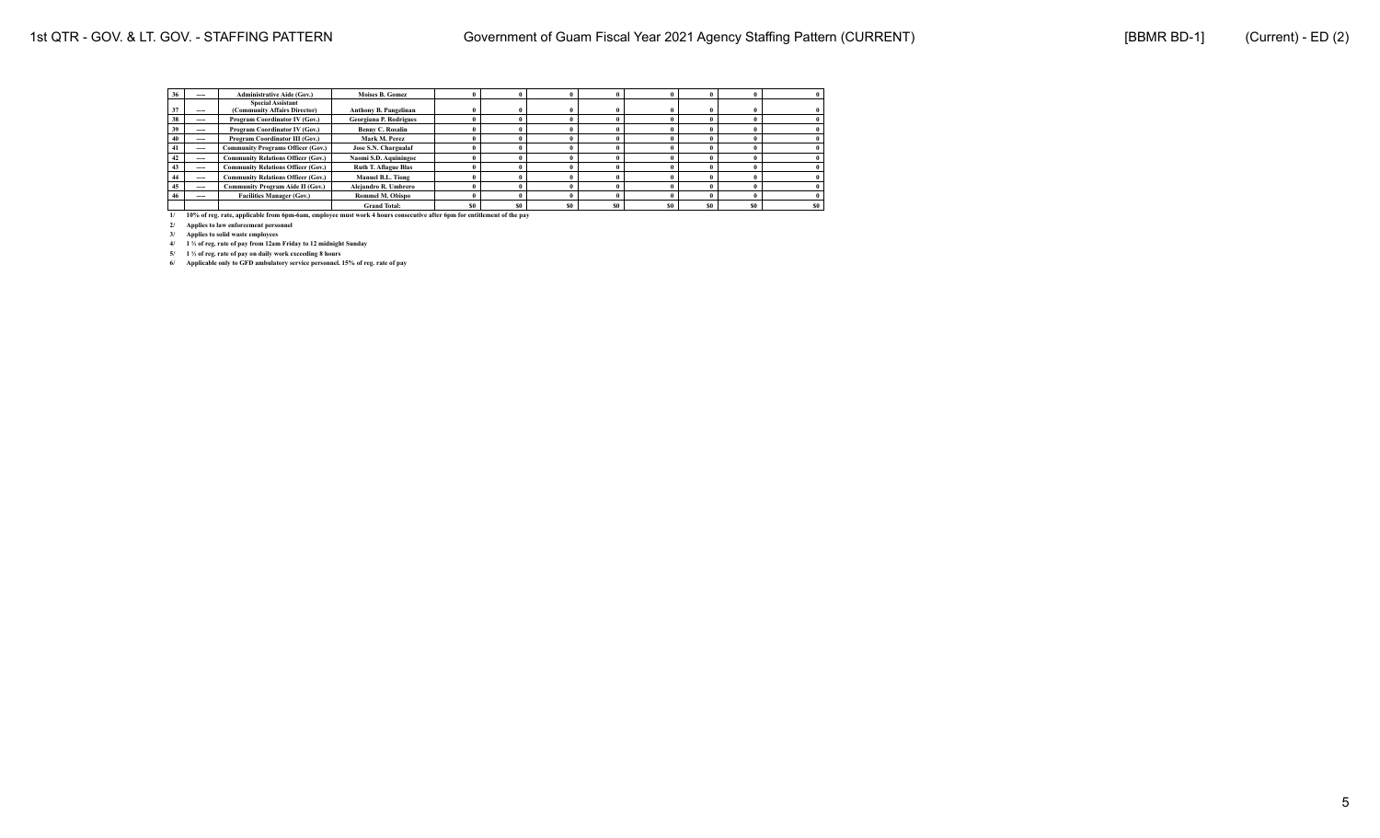| 36 | ---- | <b>Administrative Aide (Gov.)</b>         | <b>Moises B. Gomez</b>       |                |    |    |    |     |    |     |
|----|------|-------------------------------------------|------------------------------|----------------|----|----|----|-----|----|-----|
|    |      | <b>Special Assistant</b>                  |                              |                |    |    |    |     |    |     |
| 37 | ---- | (Community Affairs Director)              | <b>Anthony B. Pangelinan</b> |                |    |    |    |     |    |     |
| 38 | ---- | Program Coordinator IV (Gov.)             | Georgiana P. Rodrigues       |                |    |    |    |     |    |     |
| 39 | ---- | Program Coordinator IV (Gov.)             | <b>Benny C. Rosalin</b>      |                |    |    |    |     |    |     |
| 40 | ---- | Program Coordinator III (Gov.)            | Mark M. Perez                |                |    |    |    |     |    |     |
| 41 | ---- | <b>Community Programs Officer (Gov.)</b>  | Jose S.N. Chargualaf         |                |    |    |    |     |    |     |
| 42 | ---- | <b>Community Relations Officer (Gov.)</b> | Naomi S.D. Aquiningoc        |                |    |    |    |     |    |     |
| 43 | ---- | <b>Community Relations Officer (Gov.)</b> | <b>Ruth T. Aflague Blas</b>  |                |    |    |    |     |    |     |
| 44 | ---- | <b>Community Relations Officer (Gov.)</b> | <b>Manuel B.L. Tiong</b>     |                |    |    |    |     |    |     |
| 43 |      | <b>Community Program Aide II (Gov.)</b>   | Alejandro R. Umbrero         |                |    |    |    |     |    |     |
|    | ---- | <b>Facilities Manager (Gov.)</b>          | Rommel M. Obispo             |                |    |    |    |     |    |     |
|    |      |                                           | <b>Grand Total:</b>          | S <sub>0</sub> | S0 | S0 | S0 | \$0 | S0 | SO. |

**2/ Applies to law enforcement personnel**

**3/ Applies to solid waste employees**

**4/ 1 ½ of reg. rate of pay from 12am Friday to 12 midnight Sunday**

**5/ 1 ½ of reg. rate of pay on daily work exceeding 8 hours**

**6/ Applicable only to GFD ambulatory service personnel. 15% of reg. rate of pay**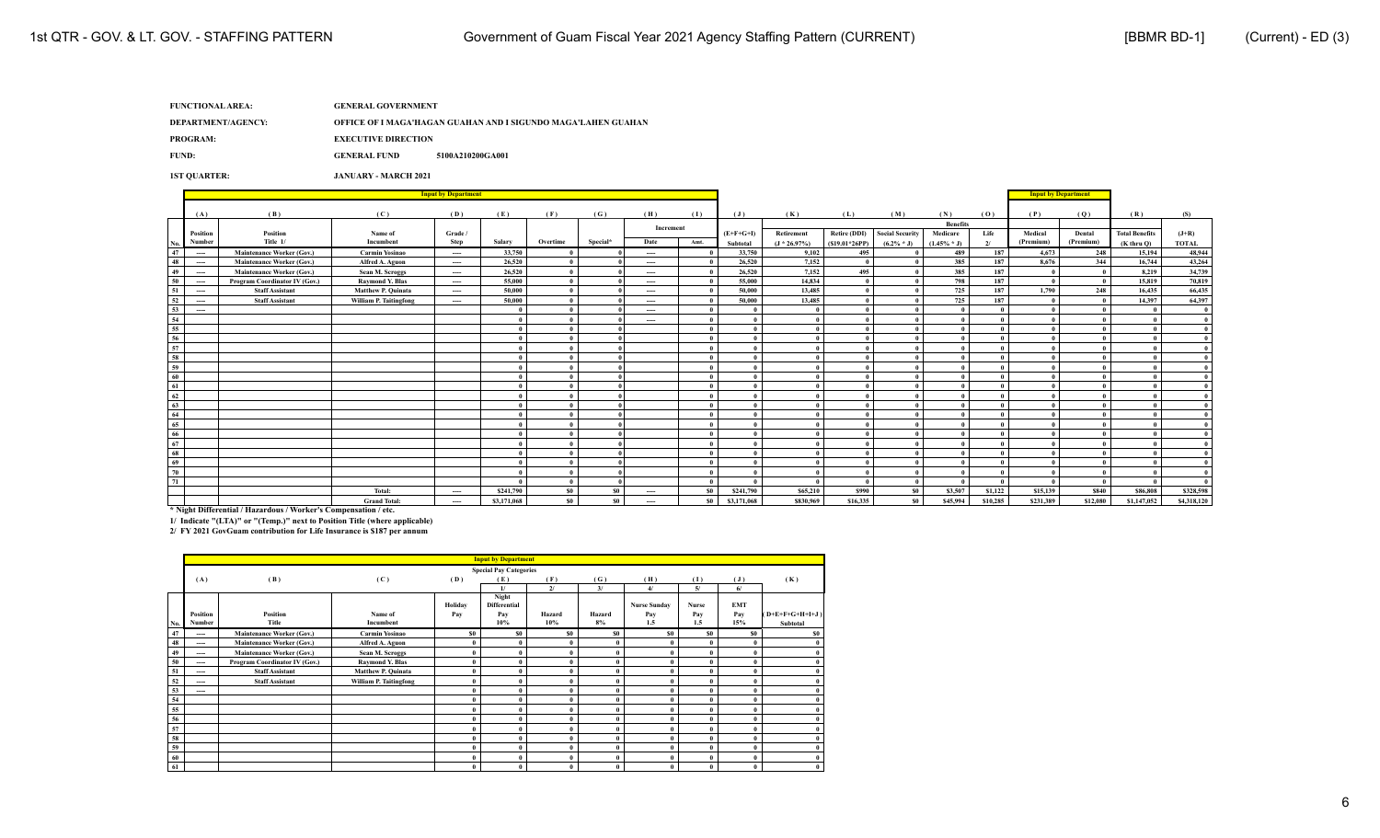| <b>FUNCTIONAL AREA:</b> | <b>GENERAL GOVERNMENT</b> |
|-------------------------|---------------------------|
|                         |                           |

| DEPARTMENT/AGENCY: | OFFICE OF I MAGA'HAGAN GUAHAN AND I SIGUNDO MAGA'LAHEN GUAHAN |
|--------------------|---------------------------------------------------------------|
|                    |                                                               |

**PROGRAM: EXECUTIVE DIRECTION**

**FUND: GENERAL FUND 5100A210200GA001** 

**1ST QUARTER: JANUARY - MARCH 2021**

|                 | <b>Input by Department</b> |                                  |                           |                          |             |              |                |                          |                |             |                 |                 |                        |                 |               | <b>Input by Department</b> |                     |                       |              |
|-----------------|----------------------------|----------------------------------|---------------------------|--------------------------|-------------|--------------|----------------|--------------------------|----------------|-------------|-----------------|-----------------|------------------------|-----------------|---------------|----------------------------|---------------------|-----------------------|--------------|
|                 |                            |                                  |                           |                          |             |              |                |                          |                |             |                 |                 |                        |                 |               |                            |                     |                       |              |
|                 | (A)                        | (B)                              | (C)                       | (D)                      | (E)         | (F)          | (G)            | (H)                      | (1)            | (J)         | (K)             | (L)             | (M)                    | (N)             | (0)           | (P)                        | (Q)                 | (R)                   | (S)          |
|                 |                            |                                  |                           |                          |             |              |                | Increment                |                |             |                 |                 |                        | <b>Benefits</b> |               |                            |                     |                       |              |
|                 | Position                   | Position<br>Title 1/             | Name of<br>Incumbent      | Grade /                  |             |              | Special*       |                          |                | $(E+F+G+I)$ | Retirement      | Retire (DDI)    | <b>Social Security</b> | Medicare        | Life          | Medical                    | Dental<br>(Premium) | <b>Total Benefits</b> | $(J+R)$      |
| No.             | Number                     |                                  |                           | <b>Step</b>              | Salary      | Overtime     |                | Date                     | Amt.           | Subtotal    | $(J * 26.97\%)$ | $(S19.01*26PP)$ | $(6.2\% * J)$          | $(1.45\% * J)$  | $\mathcal{U}$ | (Premium)                  |                     | $(K$ thru $Q$ )       | <b>TOTAL</b> |
| 47              | $\sim$                     | Maintenance Worker (Gov.)        | <b>Carmin Yosinao</b>     | $\overline{\phantom{a}}$ | 33,750      |              |                | $- - -$                  |                | 33,750      | 9,102           | 495             |                        | 489             | 187           | 4,673                      | 248                 | 15,194                | 48,944       |
| 48              | $\hspace{0.05cm} \cdots$   | <b>Maintenance Worker (Gov.)</b> | Alfred A. Aguon           | $\hspace{0.05cm} \cdots$ | 26,520      | $\mathbf{0}$ |                | $\hspace{0.05cm} \cdots$ |                | 26,520      | 7,152           |                 |                        | 385             | 187           | 8.676                      | 344                 | 16,744                | 43,264       |
| 49              | $\hspace{0.05cm} \cdots$   | <b>Maintenance Worker (Gov.)</b> | Sean M. Scroggs           | $\hspace{0.05cm} \cdots$ | 26.520      |              |                | $\sim$                   |                | 26,520      | 7,152           | 495             |                        | 385             | 187           |                            |                     | 8.219                 | 34,739       |
| 50              | $\hspace{0.05cm} \cdots$   | Program Coordinator IV (Gov.)    | <b>Raymond Y. Blas</b>    | $\hspace{0.05cm} \cdots$ | 55,000      | - 0          |                | $\sim$                   |                | 55,000      | 14,834          |                 |                        | 798             | 187           |                            |                     | 15.819                | 70,819       |
| 51              | $\cdots$                   | <b>Staff Assistant</b>           | <b>Matthew P. Quinata</b> | $\hspace{0.05cm} \cdots$ | 50,000      | - 0          |                | $\hspace{0.05cm} \cdots$ |                | 50,000      | 13,485          |                 |                        | 725             | 187           | 1.790                      | 248                 | 16.435                | 66,435       |
| 52              | $\hspace{0.05cm} \cdots$   | <b>Staff Assistant</b>           | William P. Taitingfong    | $\overline{\phantom{a}}$ | 50,000      | -0           |                | $\sim$                   |                | 50,000      | 13,485          |                 |                        | 725             | 187           |                            |                     | 14.397                | 64,397       |
| 53              | $\sim$                     |                                  |                           |                          |             |              |                | $- - -$                  |                |             |                 |                 |                        |                 |               |                            |                     | -0                    |              |
| 54              |                            |                                  |                           |                          |             |              |                | $\sim$                   |                |             |                 |                 |                        |                 |               |                            |                     | $\theta$              |              |
| 55              |                            |                                  |                           |                          |             |              |                |                          |                |             |                 |                 |                        |                 |               |                            |                     | $\sqrt{ }$            |              |
| 56              |                            |                                  |                           |                          |             |              |                |                          |                |             |                 |                 |                        |                 |               |                            |                     | $\theta$              |              |
| 57              |                            |                                  |                           |                          |             |              |                |                          |                |             |                 |                 |                        |                 |               |                            |                     |                       |              |
| 58              |                            |                                  |                           |                          |             |              |                |                          |                |             |                 |                 |                        |                 |               |                            |                     |                       |              |
| $\overline{59}$ |                            |                                  |                           |                          |             |              |                |                          |                |             |                 |                 |                        |                 |               |                            |                     |                       |              |
| 60              |                            |                                  |                           |                          |             |              |                |                          |                |             |                 |                 |                        |                 |               |                            |                     | $\mathbf{a}$          |              |
| 61              |                            |                                  |                           |                          |             |              |                |                          |                |             |                 |                 |                        |                 |               |                            |                     |                       |              |
| 62              |                            |                                  |                           |                          |             |              |                |                          |                |             | - 0             |                 |                        |                 |               |                            |                     | $\theta$              |              |
| 63              |                            |                                  |                           |                          |             |              |                |                          |                |             |                 |                 |                        |                 |               |                            |                     | -0                    |              |
| 64              |                            |                                  |                           |                          |             |              |                |                          |                |             | $\theta$        |                 |                        |                 |               |                            |                     | $\theta$              |              |
| 65              |                            |                                  |                           |                          |             |              |                |                          |                |             |                 |                 |                        |                 |               |                            |                     |                       |              |
| 66              |                            |                                  |                           |                          |             |              |                |                          |                |             | $\theta$        |                 |                        |                 |               |                            |                     | $\mathbf{a}$          |              |
| 67              |                            |                                  |                           |                          |             |              |                |                          |                |             |                 |                 |                        |                 |               |                            |                     |                       |              |
| 68              |                            |                                  |                           |                          |             |              |                |                          |                |             |                 |                 |                        |                 |               |                            |                     | $\theta$              |              |
| 69              |                            |                                  |                           |                          |             |              |                |                          |                |             |                 |                 |                        |                 |               |                            |                     |                       |              |
| 70              |                            |                                  |                           |                          |             | - 0          |                |                          |                |             | $\theta$        |                 |                        |                 |               |                            |                     | $\theta$              |              |
| 71              |                            |                                  |                           |                          |             | - 0          |                |                          |                |             |                 |                 |                        |                 |               |                            |                     | $\theta$              |              |
|                 |                            |                                  | Total:                    | $\hspace{0.05cm} \cdots$ | \$241,790   | \$0          | S <sub>0</sub> | $\overline{\phantom{a}}$ | S <sub>0</sub> | \$241,790   | \$65,210        | \$990           | S <sub>0</sub>         | \$3,507         | \$1,122       | \$15,139                   | \$840               | \$86,808              | \$328,598    |
|                 |                            |                                  | <b>Grand Total:</b>       | $\hspace{0.05cm} \cdots$ | \$3,171,068 | \$0          | \$0            | $\overline{\phantom{a}}$ | \$0            | \$3,171,068 | \$830,969       | \$16,335        | \$0                    | \$45,994        | \$10,285      | \$231.389                  | \$12,080            | \$1,147,052           | \$4,318,120  |

**\* Night Differential / Hazardous / Worker's Compensation / etc.**

**1/ Indicate "(LTA)" or "(Temp.)" next to Position Title (where applicable)**

|     |                |                                  |                               |          | <b>Input by Department</b>    |                |                |                     |                |                |                   |
|-----|----------------|----------------------------------|-------------------------------|----------|-------------------------------|----------------|----------------|---------------------|----------------|----------------|-------------------|
|     |                |                                  |                               |          | <b>Special Pay Categories</b> |                |                |                     |                |                |                   |
|     | (A)            | (B)                              | (C)                           | (D)      | (E)                           | (F)            | (G)            | (H)                 | (1)            | (J)            | (K)               |
|     |                |                                  |                               |          | 1/                            | 2/             | 3/             | 4/                  | 5/             | 6/             |                   |
|     |                |                                  |                               | Holiday  | Night<br><b>Differential</b>  |                |                | <b>Nurse Sunday</b> | <b>Nurse</b>   | <b>EMT</b>     |                   |
|     | Position       | <b>Position</b>                  | Name of                       | Pay      | Pay                           | Hazard         | Hazard         | Pay                 | Pay            | Pay            | $(D+E+F+G+H+I+J)$ |
| No. | Number         | Title                            | Incumbent                     |          | $10\%$                        | $10\%$         | 8%             | 1.5                 | 1.5            | 15%            | Subtotal          |
| 47  | $\overline{a}$ | <b>Maintenance Worker (Gov.)</b> | <b>Carmin Yosinao</b>         | \$0      | S <sub>0</sub>                | S <sub>0</sub> | S <sub>0</sub> | S <sub>0</sub>      | S <sub>0</sub> | S <sub>0</sub> | S <sub>0</sub>    |
| 48  | ----           | <b>Maintenance Worker (Gov.)</b> | Alfred A. Aguon               | $\theta$ |                               | $\theta$       | $\theta$       | $\theta$            |                | $\theta$       |                   |
| 49  | ----           | <b>Maintenance Worker (Gov.)</b> | Sean M. Scroggs               | $\theta$ | $\theta$                      | $\theta$       | $\theta$       | $\theta$            | $\theta$       | $\mathbf{0}$   |                   |
| 50  | $---$          | Program Coordinator IV (Gov.)    | <b>Raymond Y. Blas</b>        | $\theta$ |                               | $\theta$       | $\theta$       | $\theta$            | $\theta$       | $\bf{0}$       |                   |
| 51  | ----           | <b>Staff Assistant</b>           | Matthew P. Quinata            | $\bf{0}$ | $\theta$                      | $\theta$       | $\theta$       | $\theta$            | $\theta$       | $\mathbf{0}$   |                   |
| 52  | $\sim$         | <b>Staff Assistant</b>           | <b>William P. Taitingfong</b> | $\bf{0}$ | $\mathbf{0}$                  | $\mathbf{0}$   | $\bf{0}$       | $\theta$            | $\mathbf{0}$   | $\bf{0}$       |                   |
| 53  | ----           |                                  |                               | $\bf{0}$ | $\theta$                      | $\theta$       | $\theta$       | $\theta$            | $\theta$       | $\mathbf{0}$   |                   |
| 54  |                |                                  |                               | $\theta$ | $\mathbf{0}$                  | $\theta$       | $\theta$       | $\theta$            | $\mathbf{0}$   | $\mathbf{0}$   |                   |
| 55  |                |                                  |                               | $\bf{0}$ |                               | $\theta$       | $\theta$       | O                   |                | $\theta$       |                   |
| 56  |                |                                  |                               | $\theta$ | $\theta$                      | $\theta$       | $\theta$       | $\theta$            | $\theta$       | $\mathbf{0}$   |                   |
| 57  |                |                                  |                               | $\theta$ |                               | $\bf{0}$       | $\bf{0}$       | $\theta$            | $\theta$       | $\bf{0}$       |                   |
| 58  |                |                                  |                               | $\theta$ |                               | $\theta$       | $\theta$       | O                   |                | $\mathbf{0}$   |                   |
| 59  |                |                                  |                               | $\theta$ | $\mathbf{0}$                  | $\theta$       | $\theta$       | $\theta$            |                | $\mathbf{0}$   |                   |
| 60  |                |                                  |                               | $\theta$ | $\mathbf{0}$                  | $\bf{0}$       | $\theta$       | $\theta$            | $\theta$       | $\mathbf{0}$   |                   |
| 61  |                |                                  |                               | $\bf{0}$ | $\theta$                      | $\bf{0}$       | $\bf{0}$       | $\theta$            | $\theta$       | $\mathbf{0}$   | $\mathbf{0}$      |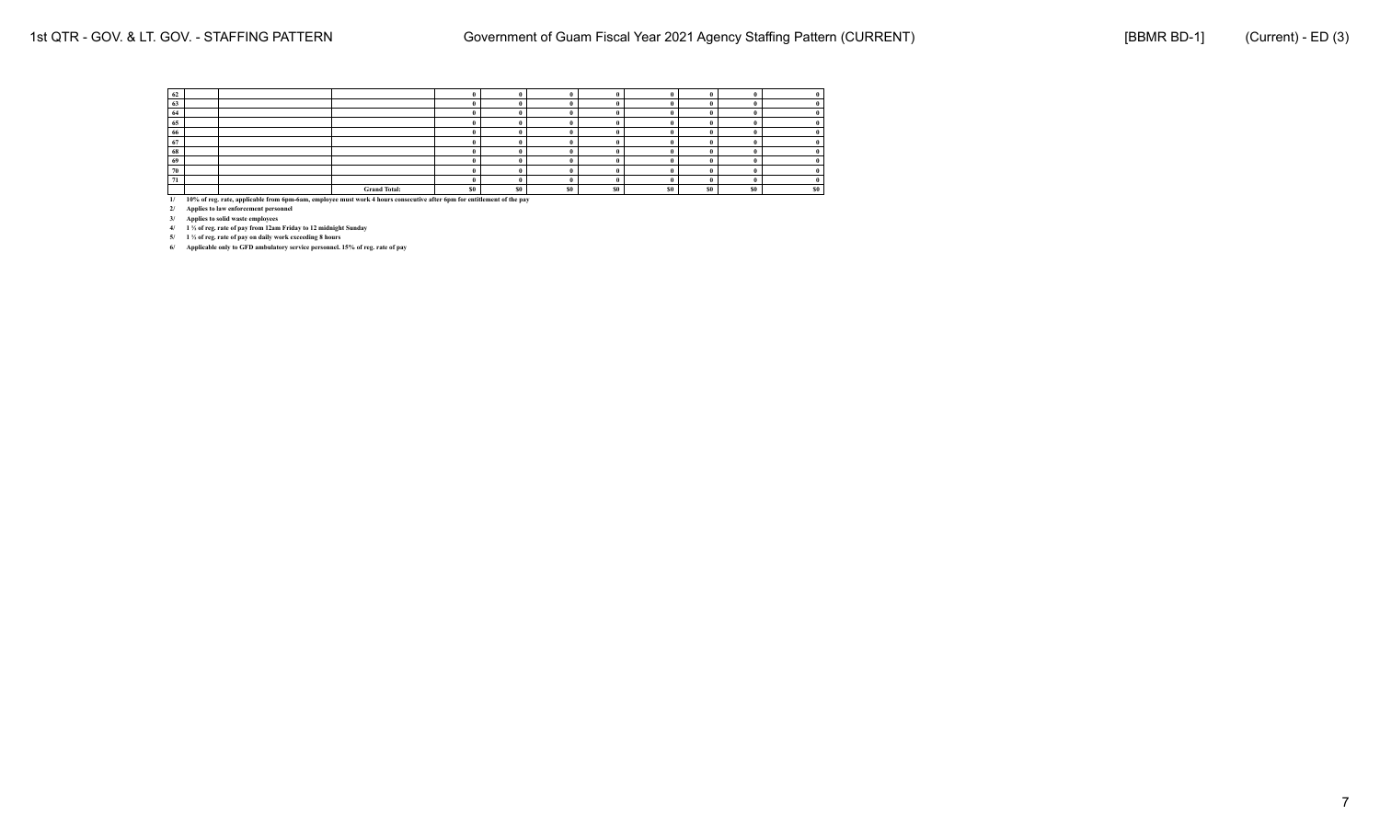| 62   |  |                     |    |                |           |     |                |                |                |     |
|------|--|---------------------|----|----------------|-----------|-----|----------------|----------------|----------------|-----|
| 03   |  |                     |    |                |           |     |                |                |                |     |
| - 04 |  |                     |    |                |           |     |                |                |                |     |
| 65   |  |                     |    |                |           |     |                |                |                |     |
| 66   |  |                     |    |                |           |     |                |                |                |     |
| 67   |  |                     |    |                |           |     |                |                |                |     |
| 68   |  |                     |    |                |           |     |                |                |                |     |
| 69   |  |                     |    |                |           |     |                |                |                |     |
| 70   |  |                     |    |                |           |     |                |                |                |     |
|      |  |                     |    |                |           |     |                |                |                |     |
|      |  | <b>Grand Total:</b> | S0 | S <sub>0</sub> | <b>SO</b> | \$0 | S <sub>0</sub> | S <sub>0</sub> | S <sub>0</sub> | SO. |

**2/ Applies to law enforcement personnel**

**3/ Applies to solid waste employees 4/ 1 ½ of reg. rate of pay from 12am Friday to 12 midnight Sunday**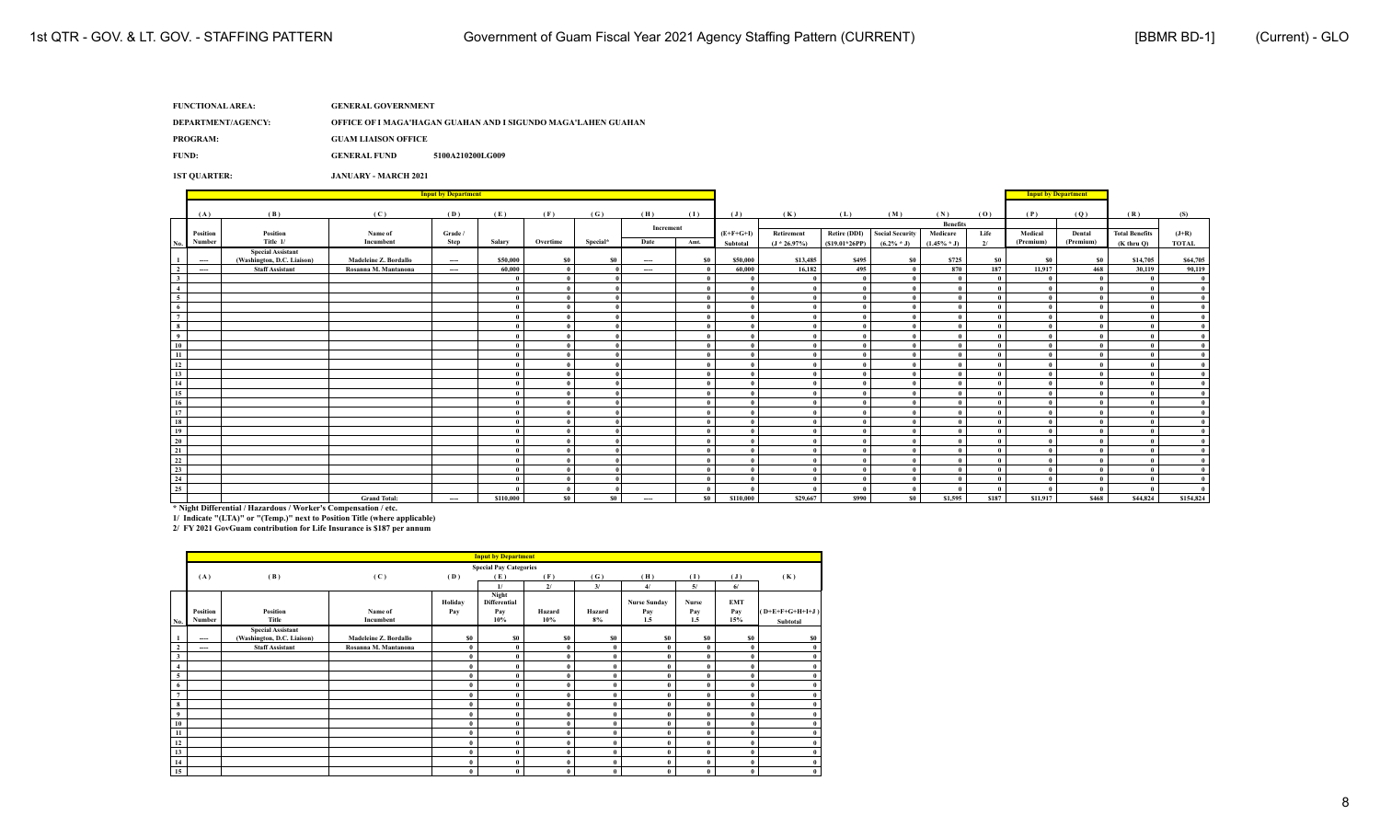| <b>FUNCTIONAL AREA:</b> | <b>GENERAL GOVERNMENT</b>  |                                                               |  |  |  |  |
|-------------------------|----------------------------|---------------------------------------------------------------|--|--|--|--|
| DEPARTMENT/AGENCY:      |                            | OFFICE OF I MAGA'HAGAN GUAHAN AND I SIGUNDO MAGA'LAHEN GUAHAN |  |  |  |  |
| PROGRAM:                | <b>GUAM LIAISON OFFICE</b> |                                                               |  |  |  |  |
| FUND:                   | <b>GENERAL FUND</b>        | 5100A210200LG009                                              |  |  |  |  |

**1ST QUARTER: JANUARY - MARCH 2021**

|                                                          |          |                                                        |                       | <b>Input by Department</b> |           |              |                |           |              |             |                 |                     |                        |                 |           | <b>Input by Department</b> |                     |                       |              |
|----------------------------------------------------------|----------|--------------------------------------------------------|-----------------------|----------------------------|-----------|--------------|----------------|-----------|--------------|-------------|-----------------|---------------------|------------------------|-----------------|-----------|----------------------------|---------------------|-----------------------|--------------|
|                                                          |          |                                                        |                       |                            |           |              |                |           |              |             |                 |                     |                        |                 |           |                            |                     |                       |              |
|                                                          | (A)      | (B)                                                    | (C)                   | (D)                        | (E)       | (F)          | (G)            | (H)       | (1)          | (J)         | (K)             | (L)                 | (M)                    | (N)             | (0)       | (P)                        | (Q)                 | (R)                   | (S)          |
|                                                          |          |                                                        |                       |                            |           |              |                | Increment |              |             |                 |                     |                        | <b>Benefits</b> |           |                            |                     |                       |              |
|                                                          | Position | Position<br>Title 1/                                   | Name of<br>Incumbent  | Grade /                    | Salary    |              |                | Date      |              | $(E+F+G+I)$ | Retirement      | <b>Retire (DDI)</b> | <b>Social Security</b> | Medicare        | Life      | Medical<br>(Premium)       | Dental<br>(Premium) | <b>Total Benefits</b> | $(J+R)$      |
| No.                                                      | Number   |                                                        |                       | Step                       |           | Overtime     | Special*       |           | Amt.         | Subtotal    | $(J * 26.97\%)$ | $(S19.01*26PP)$     | $(6.2\% * J)$          | $(1.45\% * J)$  | 2/        |                            |                     | $(K$ thru $Q$ )       | <b>TOTAL</b> |
| $\blacksquare$                                           | $\sim$   | <b>Special Assistant</b><br>(Washington, D.C. Liaison) | Madeleine Z. Bordallo | $-$                        | \$50,000  | SO.          | -50            | $\sim$    | \$0          | \$50,000    | \$13,485        | \$495               | SO.                    | \$725           | <b>SO</b> | - 80                       | \$0                 | \$14,705              | \$64,705     |
| $\frac{2}{\sqrt{2}}$                                     | $-$      | <b>Staff Assistant</b>                                 | Rosanna M. Mantanona  | $-$                        | 60,000    | $\mathbf{0}$ |                | $\sim$    | $\theta$     | 60,000      | 16,182          | 495                 |                        | 870             | 187       | 11,917                     | 468                 | 30,119                | 90,119       |
| $\overline{\mathbf{3}}$                                  |          |                                                        |                       |                            |           | $\mathbf{0}$ |                |           |              | - 0         |                 |                     |                        | $\theta$        |           |                            |                     | $\theta$              |              |
| $\frac{4}{1}$                                            |          |                                                        |                       |                            |           | $\mathbf{0}$ |                |           | $\theta$     | - 0         | $\theta$        |                     |                        | $\theta$        |           |                            |                     | $\theta$              |              |
|                                                          |          |                                                        |                       |                            | $\theta$  | $\mathbf{0}$ |                |           | $\mathbf{0}$ | - 0         | $\theta$        |                     |                        | $\theta$        |           |                            |                     |                       |              |
| $\begin{array}{r} 5 \\ \hline 6 \\ \hline 7 \end{array}$ |          |                                                        |                       |                            | $\theta$  | $\bf{0}$     |                |           | $\theta$     | - 0         | $\theta$        |                     |                        | $\theta$        |           |                            |                     |                       |              |
|                                                          |          |                                                        |                       |                            |           | $\bf{0}$     |                |           |              |             |                 |                     |                        | - 0             |           |                            |                     |                       |              |
| __<br>$\overline{\mathbf{8}}$                            |          |                                                        |                       |                            |           | $\mathbf{0}$ |                |           | $\theta$     | - 0         | $\theta$        |                     |                        | $\theta$        |           |                            |                     |                       |              |
|                                                          |          |                                                        |                       |                            |           | $\bf{0}$     |                |           |              |             | $\theta$        |                     |                        | $\theta$        |           |                            |                     |                       |              |
| $\frac{9}{10}$                                           |          |                                                        |                       |                            |           | $\mathbf{0}$ |                |           |              | - 0         | $\theta$        |                     |                        | $\theta$        |           |                            |                     |                       |              |
| $\frac{11}{12}$                                          |          |                                                        |                       |                            |           | $\bf{0}$     |                |           |              |             |                 |                     |                        | $\theta$        |           |                            |                     |                       |              |
|                                                          |          |                                                        |                       |                            |           | $\bf{0}$     |                |           |              | - 0         | $\theta$        |                     |                        | $\theta$        |           |                            |                     |                       |              |
| 13                                                       |          |                                                        |                       |                            |           | $\bf{0}$     |                |           | $\theta$     |             |                 |                     |                        | $\theta$        |           |                            |                     |                       |              |
| 14                                                       |          |                                                        |                       |                            |           | $\mathbf{0}$ |                |           |              |             |                 |                     |                        |                 |           |                            |                     |                       |              |
| 15                                                       |          |                                                        |                       |                            |           | $\bf{0}$     |                |           | $\theta$     |             |                 |                     |                        | $\theta$        |           |                            |                     |                       |              |
| $\frac{16}{17}$                                          |          |                                                        |                       |                            |           | $\bf{0}$     |                |           |              | - 0         | $\theta$        |                     |                        | $\theta$        |           |                            |                     |                       |              |
|                                                          |          |                                                        |                       |                            | 0         | $\bf{0}$     |                |           | $\theta$     | - 0         | $\theta$        |                     |                        | $\theta$        |           |                            |                     | $\theta$              |              |
| 18                                                       |          |                                                        |                       |                            |           | $\mathbf{0}$ |                |           |              | - 0         | $\theta$        |                     |                        | $\theta$        |           |                            |                     |                       |              |
| 19                                                       |          |                                                        |                       |                            | $\theta$  | $\mathbf{0}$ |                |           | $\theta$     | - 0         | $\theta$        |                     |                        | $\theta$        |           |                            |                     |                       |              |
|                                                          |          |                                                        |                       |                            | $\theta$  | $\bf{0}$     |                |           |              | - 0         | $\theta$        |                     |                        | $\theta$        |           |                            |                     |                       |              |
| $\frac{20}{21}$                                          |          |                                                        |                       |                            | $\theta$  | $\bf{0}$     |                |           | $\theta$     | - 0         | $\theta$        |                     |                        | $\theta$        |           |                            |                     |                       |              |
| $\frac{22}{2}$                                           |          |                                                        |                       |                            |           | $\mathbf{0}$ |                |           |              |             |                 |                     |                        |                 |           |                            |                     |                       |              |
| 23                                                       |          |                                                        |                       |                            |           | $\bf{0}$     |                |           | $\theta$     | - 0         |                 |                     |                        | $\theta$        |           |                            |                     |                       |              |
| $\frac{24}{25}$                                          |          |                                                        |                       |                            |           | $\bf{0}$     |                |           | $\theta$     |             |                 |                     |                        | $\theta$        |           |                            |                     |                       |              |
|                                                          |          |                                                        |                       |                            |           | $\bf{0}$     |                |           | $\theta$     |             |                 |                     |                        | - 0             |           |                            | - 0                 | $\theta$              |              |
|                                                          |          |                                                        | <b>Grand Total:</b>   | $- - -$                    | \$110,000 | \$0          | S <sub>0</sub> | $\sim$    | \$0          | \$110,000   | \$29,667        | \$990               | \$0                    | \$1,595         | \$187     | \$11,917                   | \$468               | \$44,824              | \$154,824    |

\* Night Differential / Hazardous / Worker's Compensation / etc.<br>1/ Indicate "(LTA)" or "(Temp.)" next to Position Title (where applicable)<br>2/ FY 2021 GovGuam contribution for Life Insurance is S187 per annum

|                         |          |                                                        |                       |          | <b>Input by Department</b>    |              |          |                     |                |                |                   |
|-------------------------|----------|--------------------------------------------------------|-----------------------|----------|-------------------------------|--------------|----------|---------------------|----------------|----------------|-------------------|
|                         |          |                                                        |                       |          | <b>Special Pay Categories</b> |              |          |                     |                |                |                   |
|                         | (A)      | (B)                                                    | (C)                   | (D)      | (E)                           | (F)          | (G)      | (H)                 | (I)            | $(\mathbf{J})$ | (K)               |
|                         |          |                                                        |                       |          | 1/                            | 21           | 3/       | 4/                  | 5/             | 6/             |                   |
|                         |          |                                                        |                       | Holiday  | Night<br><b>Differential</b>  |              |          | <b>Nurse Sunday</b> | <b>Nurse</b>   | <b>EMT</b>     |                   |
|                         | Position | Position                                               | Name of               | Pay      | Pay                           | Hazard       | Hazard   | Pay                 | Pay            | Pay            | $(D+E+F+G+H+I+J)$ |
| No.                     | Number   | Title                                                  | Incumbent             |          | 10%                           | 10%          | 8%       | 1.5                 | 1.5            | 15%            | Subtotal          |
| 1                       | $---$    | <b>Special Assistant</b><br>(Washington, D.C. Liaison) | Madeleine Z. Bordallo | \$0      | \$0                           | \$0          | \$0      | S <sub>0</sub>      | S <sub>0</sub> | \$0            | S <sub>0</sub>    |
| $\overline{2}$          | $---$    | <b>Staff Assistant</b>                                 | Rosanna M. Mantanona  | $\bf{0}$ | $\bf{0}$                      | $\mathbf{0}$ | $\bf{0}$ | $\theta$            | $\theta$       | $\bf{0}$       |                   |
| $\overline{\mathbf{3}}$ |          |                                                        |                       | $\bf{0}$ | $\theta$                      | $\mathbf{0}$ | $\bf{0}$ | $\theta$            | $\theta$       | $\bf{0}$       |                   |
| $\overline{4}$          |          |                                                        |                       | $\bf{0}$ | $\theta$                      | $\mathbf{0}$ | $\bf{0}$ | $\theta$            | $\theta$       | $\bf{0}$       |                   |
| 5                       |          |                                                        |                       | $\bf{0}$ | $\theta$                      | $\theta$     | $\theta$ | $\theta$            | $\theta$       | $\bf{0}$       |                   |
| 6                       |          |                                                        |                       | $\bf{0}$ | $\theta$                      | $\theta$     | $\bf{0}$ | $\theta$            | $\theta$       | $\bf{0}$       |                   |
| $\overline{7}$          |          |                                                        |                       | $\bf{0}$ | $\theta$                      | $\mathbf{0}$ | $\bf{0}$ | $\theta$            | $\theta$       | $\bf{0}$       |                   |
| 8                       |          |                                                        |                       | $\bf{0}$ | $\theta$                      | $\mathbf{0}$ | $\bf{0}$ | $\theta$            | $\theta$       | $\bf{0}$       |                   |
| 9                       |          |                                                        |                       | $\bf{0}$ | $\theta$                      | $\mathbf{0}$ | $\bf{0}$ | $\theta$            | $\theta$       | $\bf{0}$       |                   |
| 10                      |          |                                                        |                       | $\bf{0}$ | $\theta$                      | $\theta$     | $\bf{0}$ | $\theta$            | $\theta$       | $\bf{0}$       |                   |
| 11                      |          |                                                        |                       | $\bf{0}$ | $\theta$                      | $\mathbf{0}$ | $\bf{0}$ | $\theta$            | $\theta$       | $\bf{0}$       |                   |
| 12                      |          |                                                        |                       | $\bf{0}$ | $\theta$                      | $\theta$     | $\bf{0}$ | $\theta$            | $\theta$       | $\bf{0}$       |                   |
| 13                      |          |                                                        |                       | $\bf{0}$ | $\theta$                      | $\mathbf{0}$ | $\bf{0}$ | $\theta$            | $\theta$       | $\bf{0}$       |                   |
| 14                      |          |                                                        |                       | $\bf{0}$ | $\theta$                      | $\theta$     | $\bf{0}$ | $\theta$            | $\theta$       | $\bf{0}$       |                   |
| 15                      |          |                                                        |                       | $\bf{0}$ | $\bf{0}$                      | $\bf{0}$     | $\bf{0}$ | $\bf{0}$            | $\theta$       | $\bf{0}$       | $\theta$          |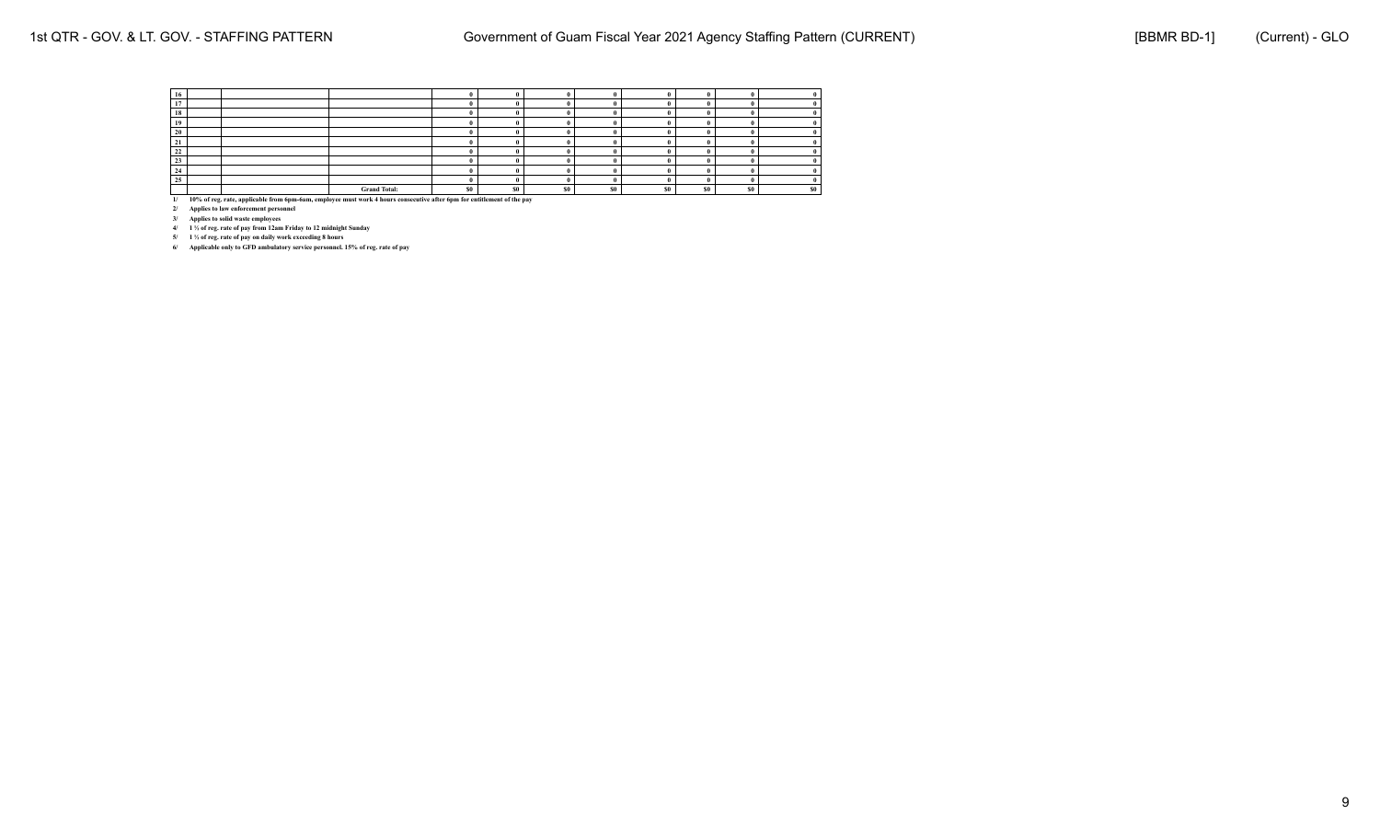| 16 |                                                                                                                        |  |                     |                |                |     |                |    |                |     |                |
|----|------------------------------------------------------------------------------------------------------------------------|--|---------------------|----------------|----------------|-----|----------------|----|----------------|-----|----------------|
| 17 |                                                                                                                        |  |                     |                |                |     |                |    |                |     |                |
| 18 |                                                                                                                        |  |                     |                |                |     |                |    |                |     |                |
| 19 |                                                                                                                        |  |                     |                |                |     |                |    |                |     |                |
| 20 |                                                                                                                        |  |                     |                |                |     |                |    |                |     |                |
| 21 |                                                                                                                        |  |                     |                |                |     |                |    |                |     |                |
| 22 |                                                                                                                        |  |                     |                |                |     |                |    |                |     |                |
| 23 |                                                                                                                        |  |                     |                |                |     |                |    |                |     |                |
|    |                                                                                                                        |  |                     |                |                |     |                |    |                |     |                |
| 25 |                                                                                                                        |  |                     |                |                |     |                |    |                |     |                |
|    |                                                                                                                        |  | <b>Grand Total:</b> | S <sub>0</sub> | S <sub>0</sub> | SO. | S <sub>0</sub> | S0 | S <sub>0</sub> | \$0 | S <sub>0</sub> |
| 1/ | 10% of reg. rate, applicable from 6pm-6am, employee must work 4 hours consecutive after 6pm for entitlement of the pay |  |                     |                |                |     |                |    |                |     |                |

**2/ Applies to law enforcement personnel**

**3/ Applies to solid waste employees 4/ 1 ½ of reg. rate of pay from 12am Friday to 12 midnight Sunday**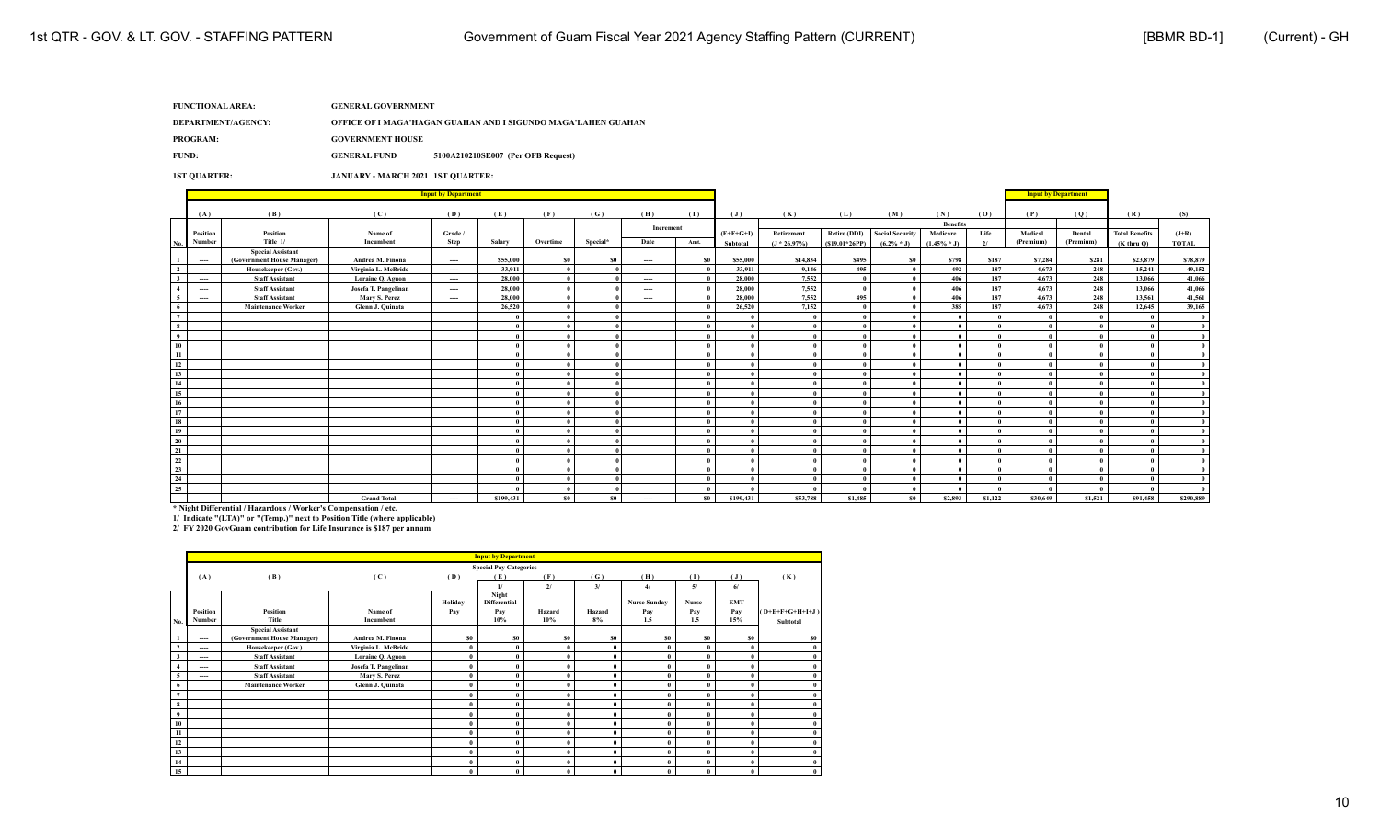| FUNCTIONAL AREA:   | <b>GENERAL GOVERNMENT</b>                                     |
|--------------------|---------------------------------------------------------------|
| DEPARTMENT/AGENCY: | OFFICE OF I MAGA'HAGAN GUAHAN AND I SIGUNDO MAGA'LAHEN GUAHAN |
| <b>PROGRAM:</b>    | <b>GOVERNMENT HOUSE</b>                                       |
| -------            |                                                               |

**FUND: GENERAL FUND 5100A210210SE007 (Per OFB Request)**

**1ST QUARTER: JANUARY - MARCH 2021 1ST QUARTER:**

|                           |                          |                                                        |                      | <b>Input by Department</b> |           |              |                |                          |              |                |                 |                 |                        |                 |          | <b>Input by Department</b> |           |                       |              |
|---------------------------|--------------------------|--------------------------------------------------------|----------------------|----------------------------|-----------|--------------|----------------|--------------------------|--------------|----------------|-----------------|-----------------|------------------------|-----------------|----------|----------------------------|-----------|-----------------------|--------------|
|                           |                          |                                                        |                      |                            |           |              |                |                          |              |                |                 |                 |                        |                 |          |                            |           |                       |              |
|                           | (A)                      | (B)                                                    | (C)                  | (D)                        | (E)       | (F)          | (G)            | (H)                      | (1)          | $(\mathbf{J})$ | (K)             | (L)             | (M)                    | (N)             | (0)      | (P)                        | (Q)       | (R)                   | (S)          |
|                           |                          |                                                        |                      |                            |           |              |                | Increment                |              |                |                 |                 |                        | <b>Benefits</b> |          |                            |           |                       |              |
|                           | Position                 | Position                                               | Name of              | Grade /                    |           |              |                |                          |              | $(E+F+G+I)$    | Retirement      | Retire (DDI)    | <b>Social Security</b> | Medicare        | Life     | Medical                    | Dental    | <b>Total Benefits</b> | $(J+R)$      |
| No.                       | Number                   | Title 1/                                               | Incumbent            | <b>Step</b>                | Salarv    | Overtime     | Special*       | Date                     | Amt.         | Subtotal       | $(J * 26.97\%)$ | $(S19.01*26PP)$ | $(6.2\% * J)$          | $(1.45\% * J)$  | 21       | (Premium)                  | (Premium) | $(K$ thru $Q$ )       | <b>TOTAL</b> |
| $\overline{1}$            | $---$                    | <b>Special Assistant</b><br>(Government House Manager) | Andrea M. Finona     | $-$                        | \$55,000  | SO.          | -50            | $\sim$                   | \$0          | \$55,000       | \$14,834        | \$495           | SO.                    | \$798           | \$187    | \$7,284                    | \$281     | \$23,879              | \$78,879     |
| $\overline{\phantom{a}2}$ | $\cdots$                 | Housekeeper (Gov.)                                     | Virginia L. McBride  | $\sim$                     | 33,911    | $\mathbf{0}$ |                | $\hspace{0.05cm} \cdots$ | $\theta$     | 33,911         | 9.146           | 495             |                        | 492             | 187      | 4,673                      | 248       | 15,241                | 49,152       |
| $\overline{\mathbf{3}}$   | $---$                    | <b>Staff Assistant</b>                                 | Loraine Q. Aguon     | $---$                      | 28,000    | $\bf{0}$     |                | $\sim$                   | $\theta$     | 28,000         | 7,552           |                 |                        | 406             | 187      | 4,673                      | 248       | 13,066                | 41,066       |
| $\overline{4}$            | $\overline{\phantom{a}}$ | <b>Staff Assistant</b>                                 | Josefa T. Pangelinan | $\sim$                     | 28,000    | $\mathbf{0}$ |                | $\sim$                   | $\mathbf{a}$ | 28,000         | 7,552           |                 |                        | 406             | 187      | 4,673                      | 248       | 13,066                | 41,066       |
| -5                        | $---$                    | <b>Staff Assistant</b>                                 | Mary S. Perez        | $-$                        | 28,000    | $\bf{0}$     |                | $- - -$                  | - 0          | 28,000         | 7,552           | 495             |                        | 406             | 187      | 4.673                      | 248       | 13,561                | 41,561       |
| 6                         |                          | <b>Maintenance Worker</b>                              | Glenn J. Quinata     |                            | 26,520    | $\mathbf{0}$ |                |                          | $\theta$     | 26,520         | 7,152           |                 |                        | 385             | 187      | 4,673                      | 248       | 12.645                | 39,165       |
| $7\overline{ }$           |                          |                                                        |                      |                            |           | $\mathbf{0}$ |                |                          | - 0          |                | - 0             |                 |                        | $\theta$        | $\theta$ |                            |           |                       |              |
| $\bf8$<br>-               |                          |                                                        |                      |                            |           | $\theta$     |                |                          | $\theta$     | - 0            | $\theta$        |                 |                        | $\mathbf{0}$    |          |                            |           |                       |              |
| 9                         |                          |                                                        |                      |                            |           | $\mathbf{0}$ |                |                          | $\theta$     |                | $\theta$        |                 |                        | $\mathbf{0}$    |          |                            |           |                       |              |
| 10                        |                          |                                                        |                      |                            |           | $\theta$     |                |                          |              |                | $\theta$        |                 |                        | $\theta$        |          |                            |           |                       |              |
| 11                        |                          |                                                        |                      |                            |           | $\mathbf{0}$ |                |                          | $\theta$     |                | $\theta$        |                 |                        | $\mathbf{0}$    |          |                            |           |                       |              |
| 12                        |                          |                                                        |                      |                            |           | $\theta$     |                |                          |              |                | $\theta$        |                 |                        | $\theta$        |          |                            |           |                       |              |
| 13                        |                          |                                                        |                      |                            |           | $\mathbf{0}$ |                |                          | $\mathbf{0}$ |                | $\mathbf{0}$    |                 |                        | $\theta$        |          |                            |           |                       |              |
| 14                        |                          |                                                        |                      |                            |           | $\theta$     |                |                          |              |                | $^{\circ}$      |                 |                        | $\theta$        |          |                            |           |                       |              |
| 15                        |                          |                                                        |                      |                            |           | $\theta$     |                |                          |              |                | $^{\circ}$      |                 |                        | - 0             |          |                            |           |                       |              |
| $\frac{16}{17}$           |                          |                                                        |                      |                            |           | $\theta$     |                |                          | $\theta$     |                | $\theta$        |                 |                        | $\theta$        |          |                            |           |                       |              |
| –                         |                          |                                                        |                      |                            |           | $\theta$     |                |                          | $\theta$     | - 0            | $\theta$        |                 |                        | - 0             |          |                            |           |                       |              |
| 18                        |                          |                                                        |                      |                            |           | $\theta$     |                |                          |              |                | $^{\circ}$      |                 |                        | $\theta$        |          |                            |           |                       |              |
| 19                        |                          |                                                        |                      |                            |           | $\theta$     |                |                          |              | - 0            | $\theta$        |                 |                        | - 0             |          |                            |           |                       |              |
| $\overline{20}$           |                          |                                                        |                      |                            |           | $\theta$     |                |                          |              |                | - 0             |                 |                        | $\theta$        |          |                            |           |                       |              |
| 21                        |                          |                                                        |                      |                            |           | $\theta$     |                |                          |              |                | $\theta$        |                 |                        |                 |          |                            |           |                       |              |
| $\overline{22}$           |                          |                                                        |                      |                            |           | $\mathbf{0}$ |                |                          |              |                | $\theta$        |                 |                        | $\theta$        |          |                            |           |                       |              |
| 23                        |                          |                                                        |                      |                            |           | $\theta$     |                |                          |              | - 0            | $\theta$        |                 |                        | - 0             |          |                            |           |                       |              |
| $\frac{24}{5}$            |                          |                                                        |                      |                            |           | $\bf{0}$     |                |                          | $\theta$     |                |                 |                 |                        | $\theta$        |          |                            |           |                       |              |
| 25                        |                          |                                                        |                      |                            |           | $\mathbf{0}$ |                |                          | $\theta$     |                | $\theta$        |                 |                        | - 0             |          |                            |           |                       |              |
|                           |                          |                                                        | <b>Grand Total:</b>  | $\cdots$                   | \$199,431 | \$0          | S <sub>0</sub> | $\hspace{0.05cm} \cdots$ | \$0          | \$199,431      | \$53,788        | \$1,485         | \$0                    | \$2,893         | \$1,122  | \$30,649                   | \$1,521   | \$91,458              | \$290,889    |

\* Night Differential / Hazardous / Worker's Compensation / etc.<br>1/ Indicate "(LTA)" or "(Temp.)" next to Position Title (where applicable)<br>2/ FY 2020 GovGuam contribution for Life Insurance is S187 per annum

|                         |                | <b>Input by Department</b>                             |                      |              |                               |              |          |                     |                |                |                   |  |  |
|-------------------------|----------------|--------------------------------------------------------|----------------------|--------------|-------------------------------|--------------|----------|---------------------|----------------|----------------|-------------------|--|--|
|                         |                |                                                        |                      |              | <b>Special Pay Categories</b> |              |          |                     |                |                |                   |  |  |
|                         | (A)            | (B)                                                    | (C)                  | (D)          | (E)                           | (F)          | (G)      | (H)                 | (1)            | $(\mathbf{J})$ | (K)               |  |  |
|                         |                |                                                        |                      |              | 1/                            | 21           | 3/       | 4/                  | 5/             | 6/             |                   |  |  |
|                         |                |                                                        |                      | Holiday      | Night<br>Differential         |              |          | <b>Nurse Sunday</b> | <b>Nurse</b>   | <b>EMT</b>     |                   |  |  |
|                         | Position       | Position                                               | Name of              | Pay          | Pay                           | Hazard       | Hazard   | Pay                 | Pay            | Pay            | $(D+E+F+G+H+I+J)$ |  |  |
| No.                     | Number         | Title                                                  | Incumbent            |              | 10%                           | 10%          | 8%       | 1.5                 | 1.5            | 15%            | Subtotal          |  |  |
|                         | $---$          | <b>Special Assistant</b><br>(Government House Manager) | Andrea M. Finona     | \$0          | S <sub>0</sub>                | \$0          | \$0      | S <sub>0</sub>      | S <sub>0</sub> | \$0            | S <sub>0</sub>    |  |  |
| $\overline{2}$          | $---$          | Housekeeper (Gov.)                                     | Virginia L. McBride  | $\bf{0}$     | $\theta$                      | $\mathbf{0}$ | $\bf{0}$ | $\theta$            | $\theta$       | $\mathbf{0}$   |                   |  |  |
| $\overline{\mathbf{3}}$ | $\overline{a}$ | <b>Staff Assistant</b>                                 | Loraine Q. Aguon     | $\mathbf{0}$ | $\theta$                      | $\theta$     | $\theta$ | $\theta$            | $\theta$       | $\mathbf{0}$   |                   |  |  |
| $\overline{4}$          | $---$          | <b>Staff Assistant</b>                                 | Josefa T. Pangelinan | $\bf{0}$     | $\theta$                      | $\theta$     | $\bf{0}$ | $\theta$            | $\theta$       | $\mathbf{0}$   |                   |  |  |
| 5                       | $- - -$        | <b>Staff Assistant</b>                                 | Mary S. Perez        | $\bf{0}$     |                               |              | $\theta$ | $\theta$            |                | $\mathbf{0}$   |                   |  |  |
| 6                       |                | <b>Maintenance Worker</b>                              | Glenn J. Quinata     | $\theta$     | $\theta$                      |              | $\bf{0}$ | $\theta$            | $\theta$       | $\mathbf{0}$   |                   |  |  |
| $\overline{7}$          |                |                                                        |                      | $\theta$     | $\theta$                      | $\mathbf{0}$ | $\bf{0}$ | $\theta$            | $\theta$       | $\mathbf{0}$   |                   |  |  |
| 8                       |                |                                                        |                      | $\bf{0}$     | $\theta$                      | $\theta$     | $\theta$ | $\theta$            | $\theta$       | $\bf{0}$       |                   |  |  |
| 9                       |                |                                                        |                      | $\bf{0}$     | $\theta$                      | $\theta$     | $\bf{0}$ | $\theta$            | $\theta$       | $\bf{0}$       |                   |  |  |
| 10                      |                |                                                        |                      | $\bf{0}$     |                               | $\theta$     | $\bf{0}$ | $\theta$            | $\theta$       | $\mathbf{0}$   |                   |  |  |
| 11                      |                |                                                        |                      | $\mathbf{0}$ | $\theta$                      | $\theta$     | $\theta$ | $\theta$            | $\theta$       | $\mathbf{0}$   |                   |  |  |
| 12                      |                |                                                        |                      | $\theta$     | $\theta$                      |              | $\bf{0}$ | $\theta$            | $\theta$       | $\bf{0}$       |                   |  |  |
| 13                      |                |                                                        |                      | $\bf{0}$     | $\theta$                      | $\mathbf{0}$ | $\theta$ | $\theta$            | $\theta$       | $\bf{0}$       |                   |  |  |
| 14                      |                |                                                        |                      | $\theta$     | $\theta$                      | $\mathbf{0}$ | $\bf{0}$ | $\theta$            | $\theta$       | $\bf{0}$       |                   |  |  |
| 15                      |                |                                                        |                      | $\bf{0}$     | $\theta$                      | $\mathbf{0}$ | $\bf{0}$ | $\bf{0}$            | $\theta$       | $\bf{0}$       | $\theta$          |  |  |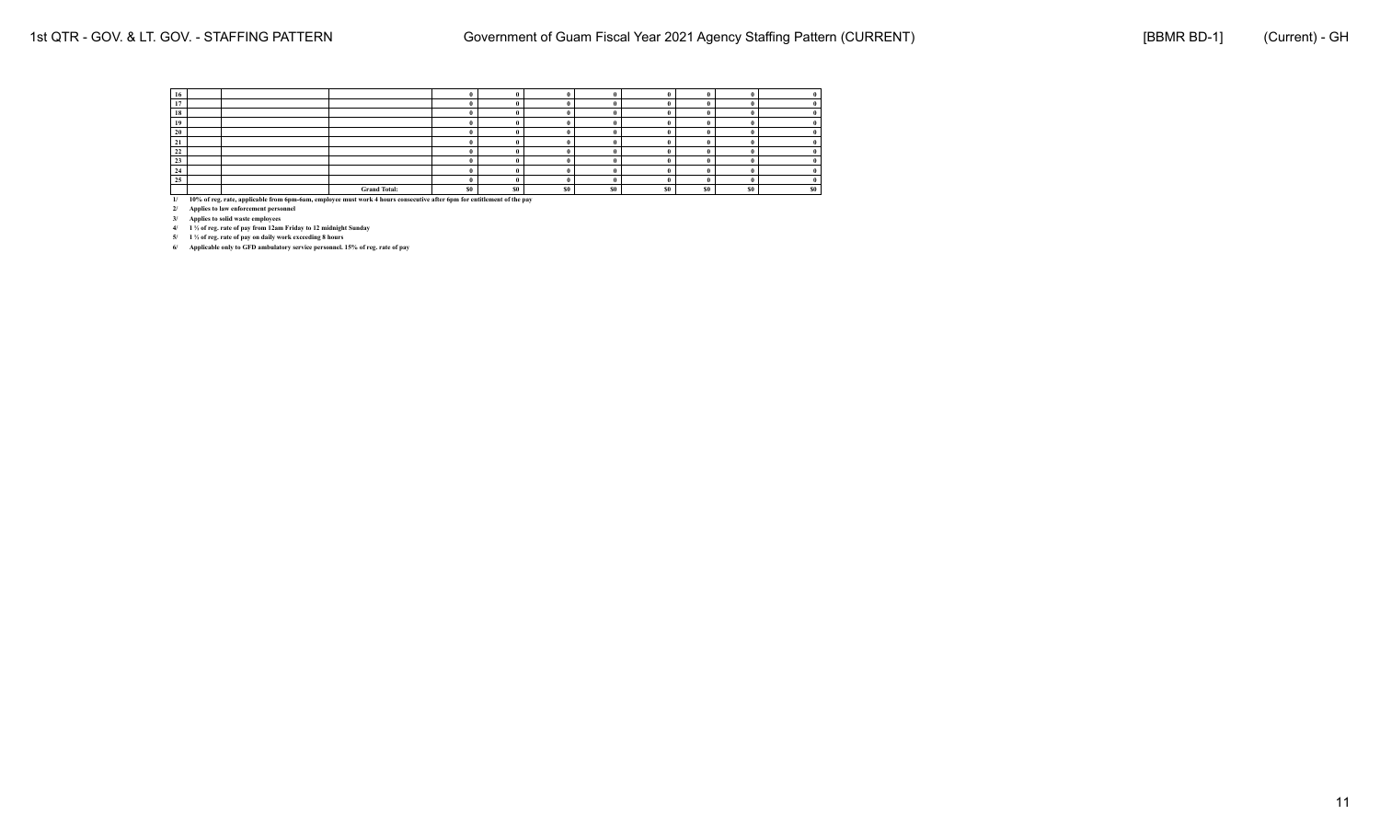| 16 |                                                                                                                           |  |                     |                |                |     |                |     |                |     | $\mathbf{0}$   |
|----|---------------------------------------------------------------------------------------------------------------------------|--|---------------------|----------------|----------------|-----|----------------|-----|----------------|-----|----------------|
| 17 |                                                                                                                           |  |                     |                |                |     |                |     |                |     |                |
| 18 |                                                                                                                           |  |                     |                |                |     |                |     |                |     |                |
| 19 |                                                                                                                           |  |                     | 0              |                |     |                |     |                |     | 0              |
| 20 |                                                                                                                           |  |                     |                |                |     |                |     |                |     |                |
| 21 |                                                                                                                           |  |                     |                |                |     |                |     |                |     |                |
| 22 |                                                                                                                           |  |                     |                |                |     |                |     |                |     |                |
| 23 |                                                                                                                           |  |                     |                |                |     |                |     |                |     |                |
| 24 |                                                                                                                           |  |                     |                |                |     |                |     |                |     |                |
| 25 |                                                                                                                           |  |                     |                |                |     |                |     |                |     |                |
|    |                                                                                                                           |  | <b>Grand Total:</b> | S <sub>0</sub> | S <sub>0</sub> | \$0 | S <sub>0</sub> | \$0 | S <sub>0</sub> | \$0 | S <sub>0</sub> |
|    | 1/ 10% of reg. rate, applicable from 6pm-6am, employee must work 4 hours consecutive after 6pm for entitlement of the pay |  |                     |                |                |     |                |     |                |     |                |

**2/ Applies to law enforcement personnel**

**3/ Applies to solid waste employees 4/ 1 ½ of reg. rate of pay from 12am Friday to 12 midnight Sunday**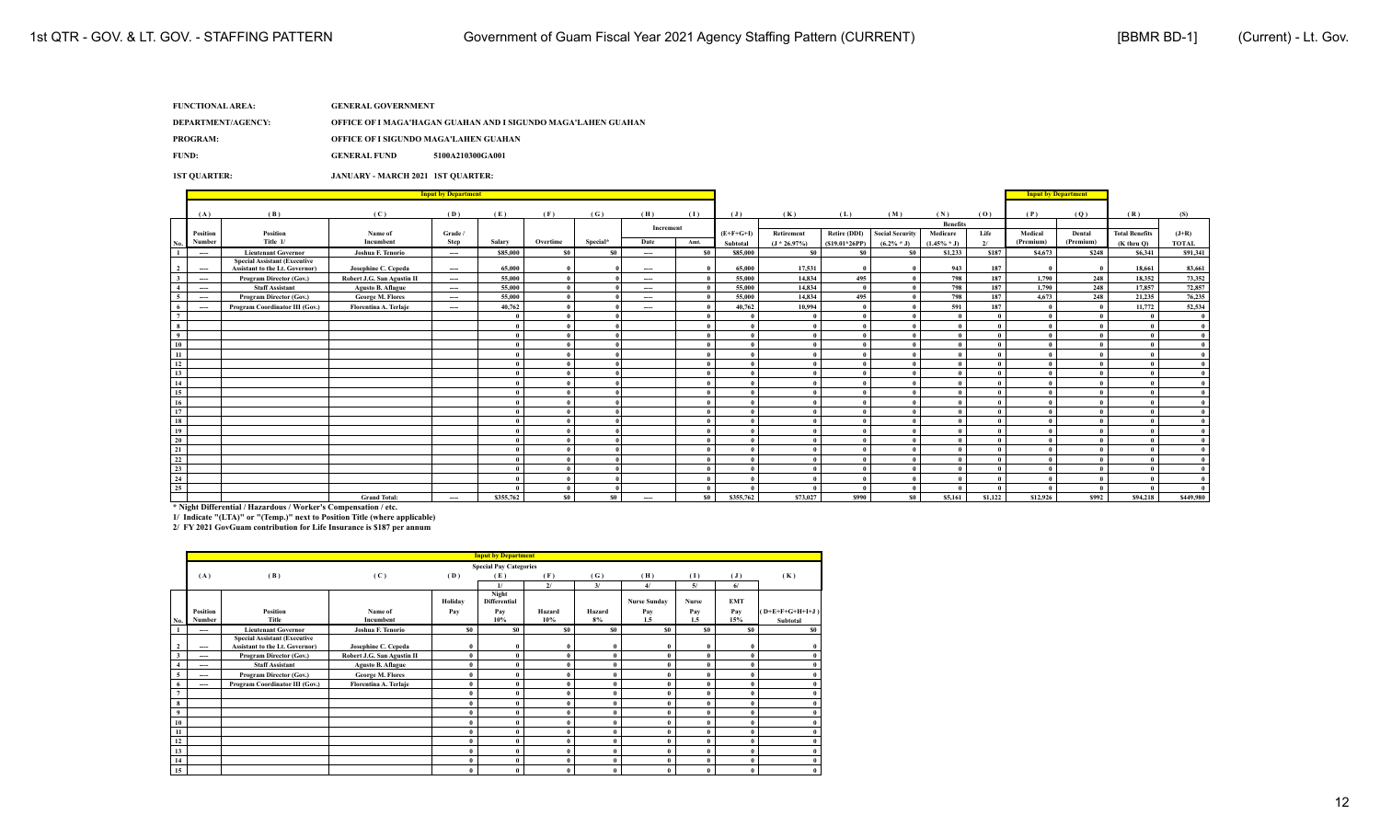| <b>FUNCTIONAL AREA:</b> | <b>GENERAL GOVERNMENT</b> |
|-------------------------|---------------------------|
|                         |                           |

|  | DEPARTMENT/AGENCY: | OFFICE OF I MAGA'HAGAN GUAHAN AND I SIGUNDO MAGA'LAHEN GUAHAN |
|--|--------------------|---------------------------------------------------------------|
|--|--------------------|---------------------------------------------------------------|

**PROGRAM: OFFICE OF I SIGUNDO MAGA'LAHEN GUAHAN**

**FUND: GENERAL FUND 5100A210300GA001** 

**1ST QUARTER: JANUARY - MARCH 2021 1ST QUARTER:**

|                         |                          | <b>Input by Department</b>                                                    |                              |                          |           |                |          |                          |              |                |                |                 |                        |                 |         | <b>Input by Department</b> |           |                       |              |
|-------------------------|--------------------------|-------------------------------------------------------------------------------|------------------------------|--------------------------|-----------|----------------|----------|--------------------------|--------------|----------------|----------------|-----------------|------------------------|-----------------|---------|----------------------------|-----------|-----------------------|--------------|
|                         |                          |                                                                               |                              |                          |           |                |          |                          |              |                |                |                 |                        |                 |         |                            |           |                       |              |
|                         | (A)                      | (B)                                                                           | (C)                          | (D)                      | (E)       | (F)            | (G)      | (H)                      | (1)          | $(\mathbf{J})$ | (K)            | (L)             | (M)                    | (N)             | (0)     | (P)                        | (0)       | (R)                   | (S)          |
|                         |                          |                                                                               |                              |                          |           |                |          | Increment                |              |                |                |                 |                        | <b>Benefits</b> |         |                            |           |                       |              |
|                         | Position                 | Position                                                                      | Name of                      | Grade /                  |           |                |          |                          |              | $(E+F+G+I)$    | Retirement     | Retire (DDI)    | <b>Social Security</b> | Medicare        | Life    | Medical                    | Dental    | <b>Total Benefits</b> | $(J+R)$      |
| No.                     | Number                   | Title 1/                                                                      | Incumbent                    | Step                     | Salary    | Overtime       | Special* | Date                     | Amt.         | Subtotal       | $(J * 26.97%)$ | $(S19.01*26PP)$ | $(6.2\% * J)$          | $(1.45\% * J)$  | 21      | (Premium)                  | (Premium) | $(K$ thru $Q)$        | <b>TOTAL</b> |
| $\mathbf{1}$            | $---$                    | <b>Lieutenant Governor</b>                                                    | Joshua F. Tenorio            | $-$                      | \$85,000  | S <sub>0</sub> | \$0      | $\overline{\phantom{a}}$ | \$0          | \$85,000       | S <sub>0</sub> | S <sub>0</sub>  | \$0                    | \$1,233         | \$187   | \$4,673                    | \$248     | \$6,341               | \$91,341     |
| $\frac{2}{\sqrt{2}}$    | $\overline{\phantom{a}}$ | <b>Special Assistant (Executive</b><br><b>Assistant to the Lt. Governor</b> ) | Josephine C. Cepeda          | $\hspace{0.05cm} \cdots$ | 65,000    | $\theta$       |          | $-$                      | $\theta$     | 65,000         | 17,531         |                 |                        | 943             | 187     |                            | - 0       | 18.661                | 83,661       |
| $\overline{\mathbf{3}}$ | $\overline{\phantom{a}}$ | Program Director (Gov.)                                                       | Robert J.G. San Agustin II   | $\sim$                   | 55,000    | $\theta$       |          | $\sim$                   | $\mathbf{0}$ | 55,000         | 14.834         | 495             |                        | 798             | 187     | 1,790                      | 248       | 18.352                | 73,352       |
| $\overline{4}$          | $\overline{\phantom{a}}$ | <b>Staff Assistant</b>                                                        | <b>Agusto B. Aflague</b>     | $\hspace{0.05cm} \cdots$ | 55,000    | $\mathbf{0}$   |          | $\hspace{0.05cm} \cdots$ | $\theta$     | 55,000         | 14,834         |                 |                        | 798             | 187     | 1,790                      | 248       | 17.857                | 72,857       |
| -5                      | $\overline{\phantom{a}}$ | Program Director (Gov.)                                                       | <b>George M. Flores</b>      | $-$                      | 55,000    | $\theta$       |          | $\overline{\phantom{a}}$ | $\theta$     | 55,000         | 14.834         | 495             |                        | 798             | 187     | 4.673                      | 248       | 21.235                | 76,235       |
| $\frac{6}{1}$           | 1.11                     | Program Coordinator III (Gov.)                                                | <b>Florentina A. Terlaie</b> | $-$                      | 40,762    | $\theta$       |          | $-$                      | $\mathbf{0}$ | 40.762         | 10,994         |                 |                        | 591             | 187     |                            |           | 11,772                | 52,534       |
| $7\overline{ }$         |                          |                                                                               |                              |                          |           | $\mathbf{0}$   |          |                          |              |                |                |                 |                        | $\theta$        |         |                            |           |                       |              |
| $\frac{8}{1}$           |                          |                                                                               |                              |                          |           | $\theta$       |          |                          | $\mathbf{0}$ |                |                |                 |                        | $\theta$        |         |                            |           | $\theta$              |              |
| $\overline{9}$<br>∸     |                          |                                                                               |                              |                          |           | $\theta$       |          |                          | $\theta$     |                | $\mathbf{0}$   |                 |                        | $\theta$        |         |                            |           | $\theta$              |              |
| 10                      |                          |                                                                               |                              |                          |           | $\theta$       |          |                          | $\theta$     |                | $\theta$       |                 |                        | $\theta$        |         |                            |           |                       |              |
| 11                      |                          |                                                                               |                              |                          |           | $\theta$       |          |                          | $\theta$     |                |                |                 |                        | $\theta$        |         |                            |           |                       |              |
| 12                      |                          |                                                                               |                              |                          |           | $\theta$       |          |                          | $\theta$     |                | $\theta$       |                 |                        | $\theta$        |         |                            |           |                       |              |
| $\frac{13}{2}$          |                          |                                                                               |                              |                          |           | $\theta$       |          |                          | $\theta$     |                | $\theta$       |                 |                        | $\theta$        |         |                            |           |                       |              |
| 14                      |                          |                                                                               |                              |                          |           | $\theta$       |          |                          |              |                | $\theta$       |                 |                        |                 |         |                            |           |                       |              |
| 15                      |                          |                                                                               |                              |                          |           | $\theta$       |          |                          | $\theta$     |                | $\theta$       |                 |                        | $\theta$        |         |                            |           |                       |              |
| 16                      |                          |                                                                               |                              |                          |           | $\theta$       |          |                          | $\theta$     |                | $\theta$       |                 |                        | $\theta$        |         |                            |           |                       |              |
| 17                      |                          |                                                                               |                              |                          |           | $\theta$       |          |                          | $\theta$     |                | $\theta$       |                 |                        | $\theta$        |         |                            |           |                       |              |
| 18                      |                          |                                                                               |                              |                          |           | $\theta$       |          |                          |              |                |                |                 |                        |                 |         |                            |           |                       |              |
| 19                      |                          |                                                                               |                              |                          |           | $\theta$       |          |                          | $\theta$     |                |                |                 |                        | $\theta$        |         |                            |           |                       |              |
| $\overline{20}$         |                          |                                                                               |                              |                          |           | $\theta$       |          |                          | $\theta$     |                |                |                 |                        |                 |         |                            |           |                       |              |
| 21                      |                          |                                                                               |                              |                          |           |                |          |                          |              |                |                |                 |                        |                 |         |                            |           |                       |              |
| $22\,$                  |                          |                                                                               |                              |                          |           | $\theta$       |          |                          |              |                |                |                 |                        | $\theta$        |         |                            |           |                       |              |
| $\frac{23}{24}$         |                          |                                                                               |                              |                          |           | $\theta$       |          |                          | $\theta$     |                | $\theta$       |                 |                        | $\theta$        |         |                            |           |                       |              |
|                         |                          |                                                                               |                              |                          |           | $\mathbf{0}$   |          |                          | $\theta$     | - 0            | $\theta$       |                 |                        | $\theta$        |         |                            |           | $\theta$              |              |
| $\overline{25}$         |                          |                                                                               |                              |                          |           | $\theta$       |          |                          | $\theta$     |                |                |                 |                        | $\theta$        |         |                            |           | $\mathbf{a}$          |              |
|                         |                          |                                                                               | <b>Grand Total:</b>          | $-$                      | \$355,762 | \$0            | \$0      | $-$                      | \$0          | \$355,762      | \$73,027       | <b>\$990</b>    | \$0                    | \$5,161         | \$1,122 | \$12,926                   | \$992     | \$94,218              | \$449,980    |

**\* Night Differential / Hazardous / Worker's Compensation / etc. 1/ Indicate "(LTA)" or "(Temp.)" next to Position Title (where applicable)**

|                |                          |                                                                              |                            |          | <b>Input by Department</b>    |                |                |                     |                |                |                   |
|----------------|--------------------------|------------------------------------------------------------------------------|----------------------------|----------|-------------------------------|----------------|----------------|---------------------|----------------|----------------|-------------------|
|                |                          |                                                                              |                            |          | <b>Special Pay Categories</b> |                |                |                     |                |                |                   |
|                | (A)                      | (B)                                                                          | (C)                        | (D)      | (E)                           | (F)            | (G)            | (H)                 | (I)            | (J)            | (K)               |
|                |                          |                                                                              |                            |          | 1/                            | 21             | 3/             | 4/                  | 5/             | 6/             |                   |
|                |                          |                                                                              |                            | Holiday  | Night<br><b>Differential</b>  |                |                | <b>Nurse Sunday</b> | <b>Nurse</b>   | <b>EMT</b>     |                   |
|                | <b>Position</b>          | Position                                                                     | Name of                    | Pay      | Pay                           | Hazard         | Hazard         | Pay                 | Pay            | Pay            | $(D+E+F+G+H+I+J)$ |
| No.            | Number                   | Title                                                                        | Incumbent                  |          | 10%                           | 10%            | 8%             | 1.5                 | 1.5            | 15%            | Subtotal          |
|                | $- - -$                  | <b>Lieutenant Governor</b>                                                   | Joshua F. Tenorio          | \$0      | S <sub>0</sub>                | S <sub>0</sub> | S <sub>0</sub> | \$0                 | S <sub>0</sub> | S <sub>0</sub> | S <sub>0</sub>    |
| $\overline{2}$ | $---$                    | <b>Special Assistant (Executive</b><br><b>Assistant to the Lt. Governor)</b> | Josephine C. Cepeda        | $\bf{0}$ | $\theta$                      | $\theta$       | $\theta$       | $\bf{0}$            | $\mathbf{0}$   | $\theta$       |                   |
| $\mathbf{3}$   | ----                     | Program Director (Gov.)                                                      | Robert J.G. San Agustin II | $\theta$ | $\theta$                      | $\theta$       | $\theta$       | $\theta$            | $\bf{0}$       | $\theta$       |                   |
| $\overline{4}$ | $\overline{\phantom{a}}$ | <b>Staff Assistant</b>                                                       | <b>Agusto B. Aflague</b>   | $\theta$ | $\theta$                      | $\theta$       | $\theta$       | $\theta$            | $\mathbf{0}$   | $\theta$       |                   |
| 5              | $- - -$                  | Program Director (Gov.)                                                      | <b>George M. Flores</b>    | $\theta$ | $\theta$                      |                | $\theta$       | $\theta$            | $\theta$       | $\theta$       |                   |
| 6              | ----                     | Program Coordinator III (Gov.)                                               | Florentina A. Terlaje      | $\theta$ | $\theta$                      |                | $\theta$       | $\theta$            | $\theta$       | $\theta$       |                   |
| $\overline{7}$ |                          |                                                                              |                            | $\bf{0}$ | $\theta$                      | $\mathbf{0}$   | $\theta$       | $\theta$            | $\mathbf{0}$   | $\theta$       |                   |
| 8              |                          |                                                                              |                            | $\bf{0}$ | $\theta$                      | $\theta$       | $\bf{0}$       | $\mathbf{0}$        | $\theta$       | $\theta$       |                   |
| 9              |                          |                                                                              |                            | $\bf{0}$ | $\theta$                      | $\theta$       | $\theta$       | $\bf{0}$            | $\theta$       | $\bf{0}$       |                   |
| 10             |                          |                                                                              |                            | $\theta$ | $\theta$                      |                | $\theta$       | $\theta$            | $\mathbf{0}$   | $\theta$       |                   |
| 11             |                          |                                                                              |                            | $\theta$ | $\theta$                      |                | $\theta$       | $\theta$            | $\mathbf{0}$   | $\mathbf{0}$   |                   |
| 12             |                          |                                                                              |                            | $\bf{0}$ | $\theta$                      | $\theta$       | $\theta$       | $\bf{0}$            | $\mathbf{0}$   | $\theta$       |                   |
| 13             |                          |                                                                              |                            | $\bf{0}$ | $\theta$                      | $\theta$       | $\theta$       | $\mathbf{0}$        | $\theta$       | $\theta$       |                   |
| 14             |                          |                                                                              |                            | $\theta$ | $\theta$                      | $\theta$       | $\theta$       | $\theta$            | $\mathbf{0}$   | $\theta$       |                   |
| 15             |                          |                                                                              |                            | $\bf{0}$ | $\bf{0}$                      | $\theta$       | $\theta$       | $\bf{0}$            | $\bf{0}$       | $\bf{0}$       | $\mathbf{0}$      |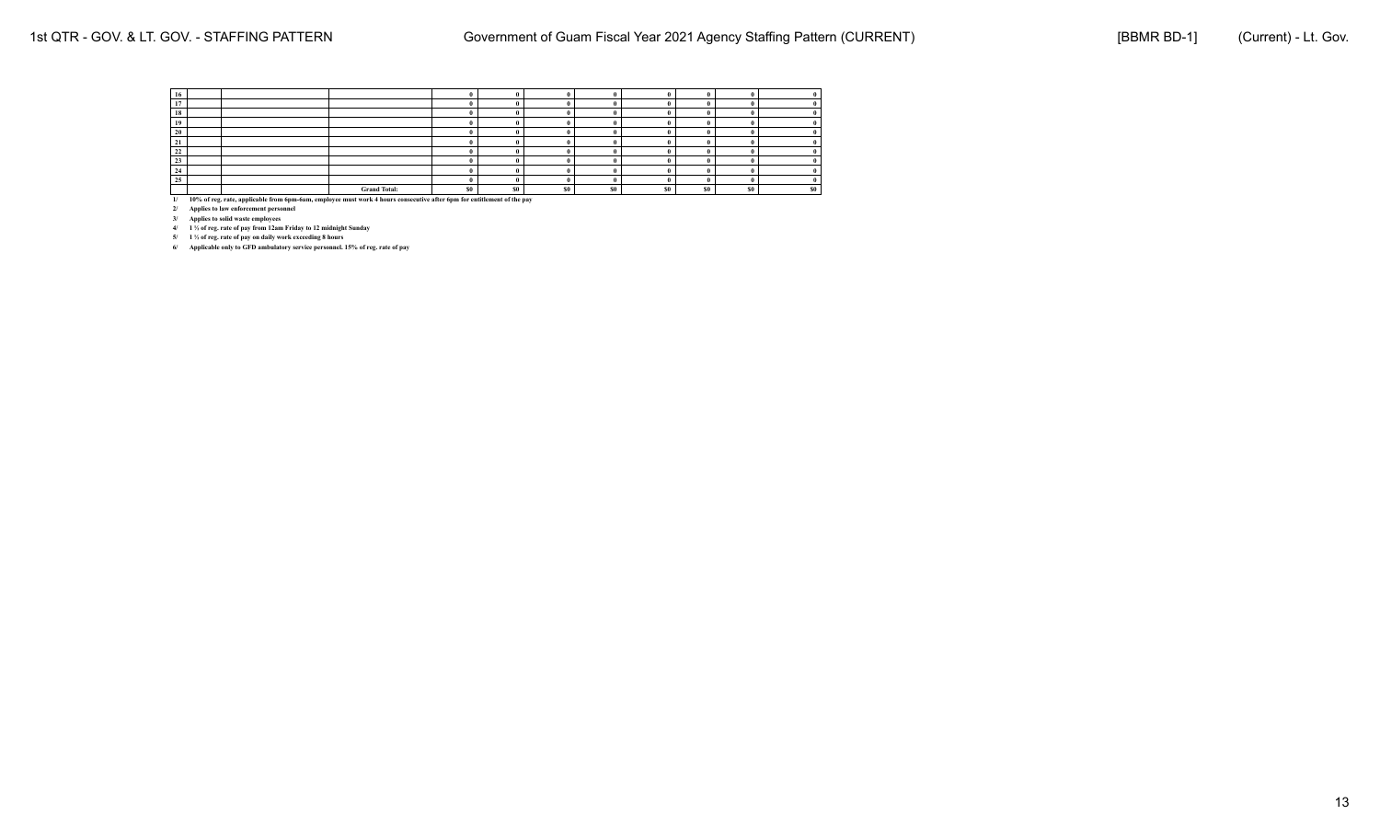| 16 |                                                                                                                        |                     |                |                |     |     |    |    |     |                |
|----|------------------------------------------------------------------------------------------------------------------------|---------------------|----------------|----------------|-----|-----|----|----|-----|----------------|
|    |                                                                                                                        |                     |                |                |     |     |    |    |     |                |
| 18 |                                                                                                                        |                     |                |                |     |     |    |    |     |                |
| 19 |                                                                                                                        |                     |                |                |     |     |    |    |     |                |
| 20 |                                                                                                                        |                     |                |                |     |     |    |    |     |                |
|    |                                                                                                                        |                     |                |                |     |     |    |    |     |                |
| 22 |                                                                                                                        |                     |                |                |     |     |    |    |     |                |
| 23 |                                                                                                                        |                     |                |                |     |     |    |    |     |                |
|    |                                                                                                                        |                     |                |                |     |     |    |    |     |                |
| 25 |                                                                                                                        |                     |                |                |     |     |    |    |     |                |
|    |                                                                                                                        | <b>Grand Total:</b> | S <sub>0</sub> | S <sub>0</sub> | SO. | \$0 | S0 | S0 | \$0 | S <sub>0</sub> |
| 1/ | 10% of reg. rate, applicable from 6pm-6am, employee must work 4 hours consecutive after 6pm for entitlement of the pay |                     |                |                |     |     |    |    |     |                |

**2/ Applies to law enforcement personnel**

**3/ Applies to solid waste employees 4/ 1 ½ of reg. rate of pay from 12am Friday to 12 midnight Sunday**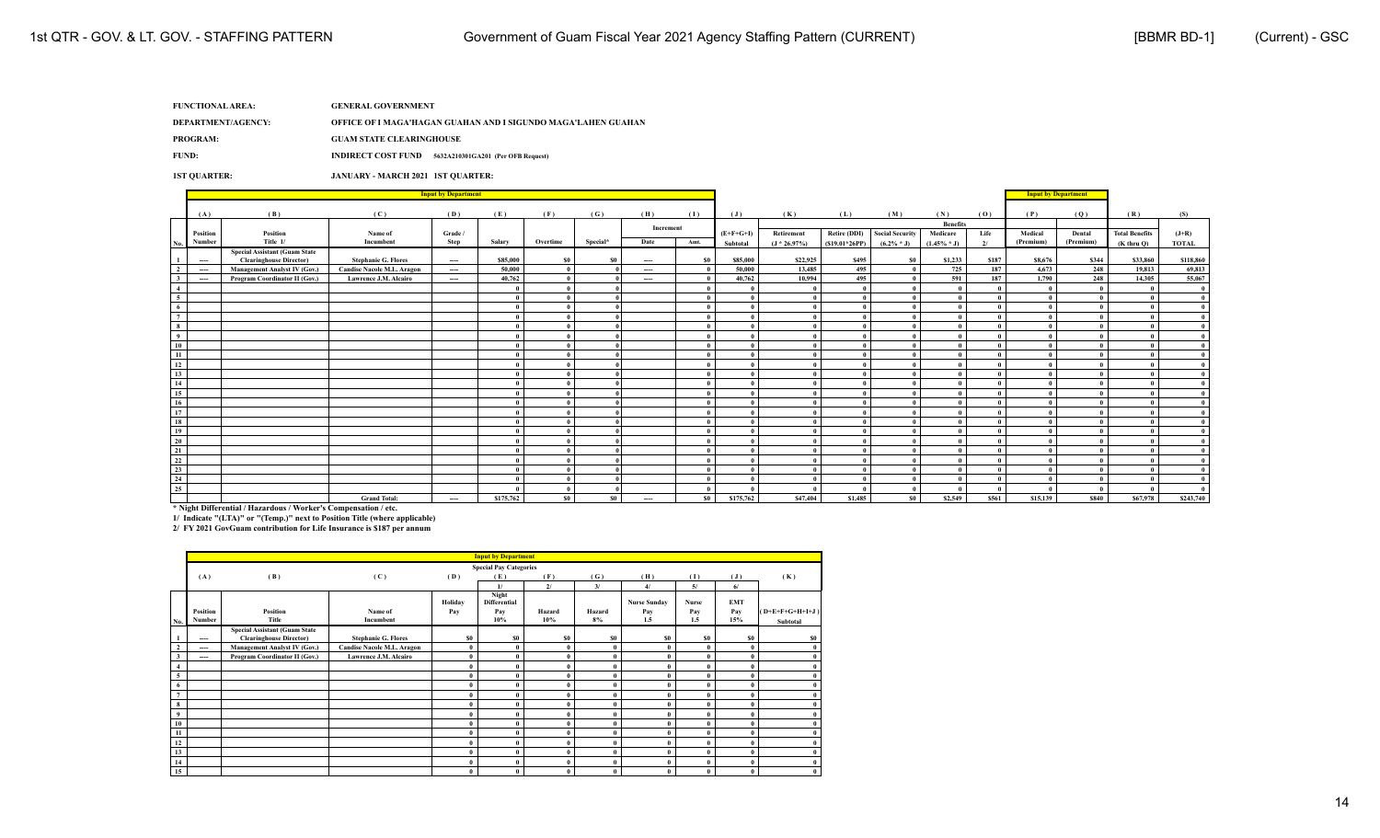| <b>FUNCTIONAL AREA:</b> | <b>GENERAL GOVERNMENT</b> |
|-------------------------|---------------------------|
|                         |                           |

**DEPARTMENT/AGENCY: OFFICE OF I MAGA'HAGAN GUAHAN AND I SIGUNDO MAGA'LAHEN GUAHAN**

**PROGRAM: GUAM STATE CLEARINGHOUSE**

**FUND: INDIRECT COST FUND 5632A210301GA201 (Per OFB Request)**

**1ST QUARTER: JANUARY - MARCH 2021 1ST QUARTER:**

|                                                             | <b>Input by Department</b> |                                                                        |                                   |          |           |                |                |                          |              |             |                 |                     |                        |                 |          | <b>Input by Department</b> |              |                       |              |
|-------------------------------------------------------------|----------------------------|------------------------------------------------------------------------|-----------------------------------|----------|-----------|----------------|----------------|--------------------------|--------------|-------------|-----------------|---------------------|------------------------|-----------------|----------|----------------------------|--------------|-----------------------|--------------|
|                                                             |                            |                                                                        |                                   |          |           |                |                |                          |              |             |                 |                     |                        |                 |          |                            |              |                       |              |
|                                                             | (A)                        | (B)                                                                    | (C)                               | (D)      | (E)       | (F)            | (G)            | (H)                      | (1)          | (J)         | (K)             | (L)                 | (M)                    | (N)             | (0)      | (P)                        | (0)          | (R)                   | (S)          |
|                                                             |                            |                                                                        |                                   |          |           |                |                | Increment                |              |             |                 |                     |                        | <b>Benefits</b> |          |                            |              |                       |              |
|                                                             | Position                   | Position                                                               | Name of                           | Grade /  |           |                |                |                          |              | $(E+F+G+I)$ | Retirement      | <b>Retire (DDI)</b> | <b>Social Security</b> | Medicare        | Life     | Medical                    | Dental       | <b>Total Benefits</b> | $(J+R)$      |
| No.                                                         | Number                     | Title 1/                                                               | Incumbent                         | Step     | Salary    | Overtime       | Special*       | Date                     | Amt.         | Subtotal    | $(J * 26.97\%)$ | $(S19.01*26PP)$     | $(6.2\% * J)$          | $(1.45\% * J)$  | 2l       | (Premium)                  | (Premium)    | $(K$ thru $Q$ )       | <b>TOTAL</b> |
| $\frac{1}{\sqrt{2}}$                                        | $\hspace{0.05cm} \cdots$   | <b>Special Assistant (Guam State</b><br><b>Clearinghouse Director)</b> | <b>Stephanie G. Flores</b>        | $\sim$   | \$85,000  | S <sub>0</sub> | S <sub>0</sub> | $\sim$                   | \$0          | \$85,000    | \$22,925        | \$495               | \$0                    | \$1,233         | \$187    | \$8,676                    | \$344        | \$33,860              | \$118,860    |
| $\frac{2}{\sqrt{2}}$                                        | $\sim$                     | Management Analyst IV (Gov.)                                           | <b>Candise Nacole M.L. Aragon</b> | $\sim$   | 50,000    | $\mathbf{0}$   |                | $\sim$                   | $\mathbf{0}$ | 50,000      | 13,485          | 495                 | $\mathbf{0}$           | 725             | 187      | 4.673                      | 248          | 19,813                | 69,813       |
| $\frac{3}{2}$                                               | $\sim$                     | Program Coordinator II (Gov.)                                          | Lawrence J.M. Alcairo             | $-$      | 40,762    | $\mathbf{0}$   |                | $\sim$                   | - 0          | 40,762      | 10,994          | 495                 |                        | 591             | 187      | 1.790                      | 248          | 14.305                | 55,067       |
|                                                             |                            |                                                                        |                                   |          |           | $\theta$       |                |                          | $\theta$     |             | $\theta$        |                     |                        |                 | $\theta$ |                            |              | $\theta$              | - 0          |
| $\frac{4}{5}$                                               |                            |                                                                        |                                   |          |           | $\mathbf{0}$   |                |                          | - 0          |             | $\theta$        |                     |                        |                 | $\theta$ |                            |              | $\sqrt{2}$            |              |
| $\frac{6}{7}$                                               |                            |                                                                        |                                   |          |           | - 0            |                |                          | $\theta$     |             | $\theta$        |                     |                        |                 | $\theta$ |                            |              |                       |              |
|                                                             |                            |                                                                        |                                   |          |           | - 0            |                |                          | $\theta$     |             | $\theta$        |                     |                        |                 | $\theta$ |                            |              |                       |              |
| $\bf8$                                                      |                            |                                                                        |                                   |          |           | $\theta$       |                |                          | $\theta$     |             | $\theta$        |                     |                        |                 | $\theta$ |                            |              |                       |              |
| $\frac{9}{2}$                                               |                            |                                                                        |                                   |          |           | $\theta$       |                |                          | $\theta$     |             | $\theta$        |                     |                        |                 | $\theta$ |                            |              | $\sqrt{2}$            |              |
| 10                                                          |                            |                                                                        |                                   |          |           | $\theta$       |                |                          | $\theta$     |             | $\theta$        |                     |                        |                 | $\theta$ |                            |              |                       |              |
| $\frac{11}{1}$                                              |                            |                                                                        |                                   |          |           | $\mathbf{0}$   |                |                          | $\theta$     |             | $\theta$        |                     |                        |                 | $\theta$ |                            |              | $\sqrt{2}$            |              |
| 12                                                          |                            |                                                                        |                                   |          |           | $\theta$       |                |                          | $\theta$     |             | $\theta$        |                     |                        |                 | $\theta$ |                            |              |                       |              |
| 13                                                          |                            |                                                                        |                                   |          |           | $\mathbf{0}$   |                |                          | $\theta$     |             | $\theta$        |                     |                        |                 | $\theta$ |                            |              |                       |              |
| $\frac{14}{1}$                                              |                            |                                                                        |                                   |          |           | $\mathbf{0}$   |                |                          | - 0          |             |                 |                     |                        |                 |          |                            |              |                       |              |
| 15                                                          |                            |                                                                        |                                   |          |           | $\theta$       |                |                          | $\theta$     |             | $\theta$        |                     |                        |                 | $\theta$ |                            |              | $\sqrt{2}$            |              |
| $\begin{array}{r} 16 \\ \hline 17 \\ \hline 18 \end{array}$ |                            |                                                                        |                                   |          |           | $\mathbf{0}$   |                |                          | $\theta$     |             | $\theta$        |                     |                        |                 | $\theta$ |                            |              |                       |              |
|                                                             |                            |                                                                        |                                   |          |           | $\theta$       |                |                          | $\theta$     |             | $\theta$        |                     |                        |                 | $\theta$ |                            |              |                       |              |
|                                                             |                            |                                                                        |                                   |          |           | - 0            |                |                          | $\theta$     |             |                 |                     |                        |                 | $\theta$ |                            |              |                       |              |
| 19                                                          |                            |                                                                        |                                   |          |           | - 0            |                |                          | $\theta$     |             |                 |                     |                        |                 |          |                            |              |                       |              |
| $\overline{20}$                                             |                            |                                                                        |                                   |          |           | $\mathbf{0}$   |                |                          | $\theta$     |             | $\theta$        |                     |                        |                 | $\theta$ |                            |              |                       |              |
| 21                                                          |                            |                                                                        |                                   |          |           |                |                |                          | $\theta$     |             |                 |                     |                        |                 |          |                            |              |                       |              |
| $\frac{22}{23}$                                             |                            |                                                                        |                                   |          |           | $\mathbf{0}$   |                |                          | $\theta$     |             | $\theta$        |                     |                        |                 | $\theta$ |                            |              |                       |              |
|                                                             |                            |                                                                        |                                   |          |           | $\theta$       |                |                          | $\theta$     |             | $\theta$        |                     |                        |                 | $\theta$ |                            |              | $\sqrt{2}$            |              |
| $\frac{24}{25}$                                             |                            |                                                                        |                                   |          |           | $\bf{0}$       |                |                          | $\theta$     |             | $\theta$        |                     |                        |                 | $\theta$ |                            |              | $\theta$              |              |
|                                                             |                            |                                                                        |                                   |          |           | $\mathbf{0}$   |                |                          | $\theta$     |             |                 |                     |                        |                 | $\theta$ |                            |              | $\theta$              |              |
|                                                             |                            |                                                                        | <b>Grand Total:</b>               | $\cdots$ | \$175,762 | S <sub>0</sub> | \$0            | $\hspace{0.05cm} \cdots$ | \$0          | \$175,762   | \$47,404        | \$1,485             | \$0                    | \$2,549         | \$561    | \$15,139                   | <b>\$840</b> | \$67,978              | \$243,740    |

**\* Night Differential / Hazardous / Worker's Compensation / etc.**

**1/ Indicate "(LTA)" or "(Temp.)" next to Position Title (where applicable)**

|                         |          |                                                                        |                                   |              | <b>Input by Department</b>    |              |          |                     |                |                |                   |
|-------------------------|----------|------------------------------------------------------------------------|-----------------------------------|--------------|-------------------------------|--------------|----------|---------------------|----------------|----------------|-------------------|
|                         |          |                                                                        |                                   |              | <b>Special Pay Categories</b> |              |          |                     |                |                |                   |
|                         | (A)      | (B)                                                                    | (C)                               | (D)          | (E)                           | (F)          | (G)      | (H)                 | (I)            | $(\mathbf{J})$ | (K)               |
|                         |          |                                                                        |                                   |              | 1/                            | 21           | 3/       | 4/                  | 5/             | 6/             |                   |
|                         |          |                                                                        |                                   | Holiday      | Night<br><b>Differential</b>  |              |          | <b>Nurse Sunday</b> | <b>Nurse</b>   | <b>EMT</b>     |                   |
|                         | Position | Position                                                               | Name of                           | Pay          | Pay                           | Hazard       | Hazard   | Pay                 | Pay            | Pay            | $(D+E+F+G+H+I+J)$ |
| No.                     | Number   | Title                                                                  | Incumbent                         |              | 10%                           | 10%          | 8%       | 1.5                 | 1.5            | 15%            | Subtotal          |
|                         | $---$    | <b>Special Assistant (Guam State</b><br><b>Clearinghouse Director)</b> | <b>Stephanie G. Flores</b>        | \$0          | S <sub>0</sub>                | \$0          | \$0      | S <sub>0</sub>      | S <sub>0</sub> | \$0            | S <sub>0</sub>    |
| $\overline{2}$          | $---$    | Management Analyst IV (Gov.)                                           | <b>Candise Nacole M.L. Aragon</b> | $\bf{0}$     | $\theta$                      | $\mathbf{0}$ | $\bf{0}$ | $\theta$            | $\theta$       | $\mathbf{0}$   |                   |
| $\overline{\mathbf{3}}$ | $---$    | Program Coordinator II (Gov.)                                          | Lawrence J.M. Alcairo             | $\mathbf{0}$ | $\theta$                      | $\theta$     | $\theta$ | $\theta$            | $\theta$       | $\mathbf{0}$   |                   |
| $\overline{4}$          |          |                                                                        |                                   | $\bf{0}$     | $\bf{0}$                      | $\mathbf{0}$ | $\bf{0}$ | $\theta$            | $\theta$       | $\mathbf{0}$   |                   |
| 5                       |          |                                                                        |                                   | $\bf{0}$     |                               |              | $\theta$ | $\theta$            |                | $\bf{0}$       |                   |
| 6                       |          |                                                                        |                                   | $\theta$     | $\theta$                      | $\theta$     | $\bf{0}$ | $\theta$            | $\theta$       | $\mathbf{0}$   |                   |
| $\overline{7}$          |          |                                                                        |                                   | $\bf{0}$     | $\theta$                      | $\mathbf{0}$ | $\bf{0}$ | $\theta$            | $\theta$       | $\mathbf{0}$   |                   |
| 8                       |          |                                                                        |                                   | $\bf{0}$     | $\theta$                      | $\mathbf{0}$ | $\theta$ | $\theta$            | $\theta$       | $\bf{0}$       |                   |
| 9                       |          |                                                                        |                                   | $\bf{0}$     | $\theta$                      | $\theta$     | $\bf{0}$ | $\theta$            | $\theta$       | $\bf{0}$       |                   |
| 10                      |          |                                                                        |                                   | $\bf{0}$     |                               | $\theta$     | $\bf{0}$ | $\theta$            | $\theta$       | $\mathbf{0}$   |                   |
| 11                      |          |                                                                        |                                   | $\mathbf{0}$ | $\theta$                      | $\theta$     | $\theta$ | $\theta$            | $\theta$       | $\mathbf{0}$   |                   |
| 12                      |          |                                                                        |                                   | $\bf{0}$     | $\theta$                      |              | $\bf{0}$ | $\theta$            | $\theta$       | $\bf{0}$       |                   |
| 13                      |          |                                                                        |                                   | $\bf{0}$     | $\theta$                      | $\mathbf{0}$ | $\theta$ | $\theta$            | $\theta$       | $\bf{0}$       |                   |
| 14                      |          |                                                                        |                                   | $\bf{0}$     | $\theta$                      | $\theta$     | $\bf{0}$ | $\theta$            | $\theta$       | $\bf{0}$       |                   |
| 15                      |          |                                                                        |                                   | $\bf{0}$     | $\theta$                      | $\mathbf{0}$ | $\bf{0}$ | $\bf{0}$            | $\theta$       | $\bf{0}$       | $\theta$          |